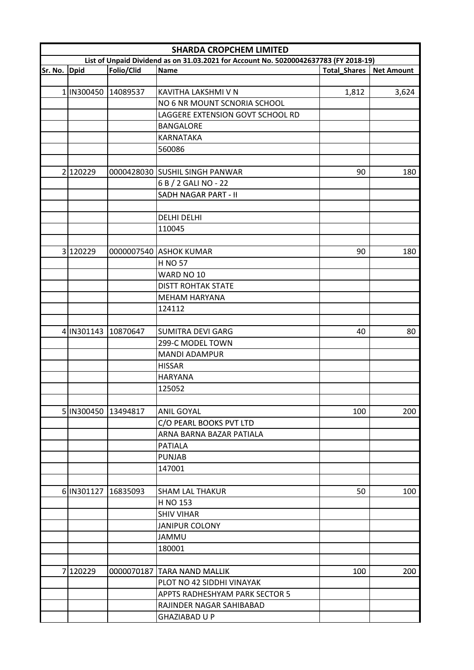|              | <b>SHARDA CROPCHEM LIMITED</b> |                     |                                                                                      |                     |                   |  |
|--------------|--------------------------------|---------------------|--------------------------------------------------------------------------------------|---------------------|-------------------|--|
|              |                                |                     | List of Unpaid Dividend as on 31.03.2021 for Account No. 50200042637783 (FY 2018-19) |                     |                   |  |
| Sr. No. Dpid |                                | Folio/Clid          | <b>Name</b>                                                                          | <b>Total_Shares</b> | <b>Net Amount</b> |  |
|              |                                |                     |                                                                                      |                     |                   |  |
|              |                                | 1 IN300450 14089537 | KAVITHA LAKSHMI V N                                                                  | 1,812               | 3,624             |  |
|              |                                |                     | NO 6 NR MOUNT SCNORIA SCHOOL                                                         |                     |                   |  |
|              |                                |                     | LAGGERE EXTENSION GOVT SCHOOL RD                                                     |                     |                   |  |
|              |                                |                     | <b>BANGALORE</b>                                                                     |                     |                   |  |
|              |                                |                     | <b>KARNATAKA</b>                                                                     |                     |                   |  |
|              |                                |                     | 560086                                                                               |                     |                   |  |
|              |                                |                     |                                                                                      |                     |                   |  |
|              | 2 120229                       |                     | 0000428030 SUSHIL SINGH PANWAR                                                       | 90                  | 180               |  |
|              |                                |                     | 6 B / 2 GALI NO - 22                                                                 |                     |                   |  |
|              |                                |                     | SADH NAGAR PART - II                                                                 |                     |                   |  |
|              |                                |                     |                                                                                      |                     |                   |  |
|              |                                |                     | <b>DELHI DELHI</b>                                                                   |                     |                   |  |
|              |                                |                     | 110045                                                                               |                     |                   |  |
|              |                                |                     |                                                                                      |                     |                   |  |
|              | 3 120229                       |                     | 0000007540 ASHOK KUMAR                                                               | 90                  | 180               |  |
|              |                                |                     | <b>H NO 57</b>                                                                       |                     |                   |  |
|              |                                |                     | WARD NO 10                                                                           |                     |                   |  |
|              |                                |                     | <b>DISTT ROHTAK STATE</b>                                                            |                     |                   |  |
|              |                                |                     | <b>MEHAM HARYANA</b>                                                                 |                     |                   |  |
|              |                                |                     | 124112                                                                               |                     |                   |  |
|              |                                |                     |                                                                                      |                     |                   |  |
|              | 4 IN301143 10870647            |                     | <b>SUMITRA DEVI GARG</b>                                                             | 40                  | 80                |  |
|              |                                |                     | 299-C MODEL TOWN                                                                     |                     |                   |  |
|              |                                |                     | <b>MANDI ADAMPUR</b>                                                                 |                     |                   |  |
|              |                                |                     | <b>HISSAR</b>                                                                        |                     |                   |  |
|              |                                |                     | <b>HARYANA</b>                                                                       |                     |                   |  |
|              |                                |                     | 125052                                                                               |                     |                   |  |
|              |                                |                     |                                                                                      |                     |                   |  |
|              |                                |                     |                                                                                      |                     |                   |  |
|              |                                | 5 IN300450 13494817 | ANIL GOYAL                                                                           | 100                 | 200               |  |
|              |                                |                     | C/O PEARL BOOKS PVT LTD                                                              |                     |                   |  |
|              |                                |                     | ARNA BARNA BAZAR PATIALA                                                             |                     |                   |  |
|              |                                |                     | <b>PATIALA</b>                                                                       |                     |                   |  |
|              |                                |                     | <b>PUNJAB</b>                                                                        |                     |                   |  |
|              |                                |                     | 147001                                                                               |                     |                   |  |
|              |                                |                     |                                                                                      |                     |                   |  |
|              | 6 IN301127 16835093            |                     | <b>SHAM LAL THAKUR</b>                                                               | 50                  | 100               |  |
|              |                                |                     | H NO 153                                                                             |                     |                   |  |
|              |                                |                     | <b>SHIV VIHAR</b>                                                                    |                     |                   |  |
|              |                                |                     | <b>JANIPUR COLONY</b>                                                                |                     |                   |  |
|              |                                |                     | JAMMU                                                                                |                     |                   |  |
|              |                                |                     | 180001                                                                               |                     |                   |  |
|              |                                |                     |                                                                                      |                     |                   |  |
|              | 7 120229                       |                     | 0000070187 TARA NAND MALLIK                                                          | 100                 | 200               |  |
|              |                                |                     | PLOT NO 42 SIDDHI VINAYAK                                                            |                     |                   |  |
|              |                                |                     | APPTS RADHESHYAM PARK SECTOR 5                                                       |                     |                   |  |
|              |                                |                     | RAJINDER NAGAR SAHIBABAD                                                             |                     |                   |  |
|              |                                |                     | <b>GHAZIABAD U P</b>                                                                 |                     |                   |  |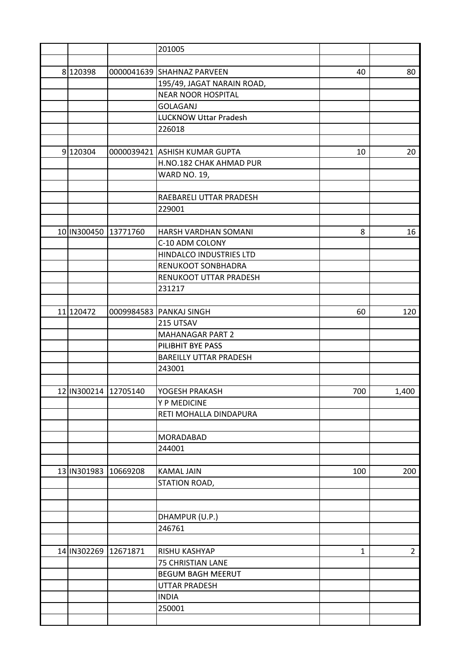|           |                      | 201005                        |              |                |
|-----------|----------------------|-------------------------------|--------------|----------------|
|           |                      |                               |              |                |
| 8120398   |                      | 0000041639 SHAHNAZ PARVEEN    | 40           | 80             |
|           |                      | 195/49, JAGAT NARAIN ROAD,    |              |                |
|           |                      | <b>NEAR NOOR HOSPITAL</b>     |              |                |
|           |                      | <b>GOLAGANJ</b>               |              |                |
|           |                      | <b>LUCKNOW Uttar Pradesh</b>  |              |                |
|           |                      | 226018                        |              |                |
|           |                      |                               |              |                |
| 9120304   |                      | 0000039421 ASHISH KUMAR GUPTA | 10           | 20             |
|           |                      | H.NO.182 CHAK AHMAD PUR       |              |                |
|           |                      | <b>WARD NO. 19,</b>           |              |                |
|           |                      |                               |              |                |
|           |                      | RAEBARELI UTTAR PRADESH       |              |                |
|           |                      | 229001                        |              |                |
|           |                      |                               |              |                |
|           | 10 IN300450 13771760 | HARSH VARDHAN SOMANI          | 8            | 16             |
|           |                      | C-10 ADM COLONY               |              |                |
|           |                      | HINDALCO INDUSTRIES LTD       |              |                |
|           |                      | RENUKOOT SONBHADRA            |              |                |
|           |                      | RENUKOOT UTTAR PRADESH        |              |                |
|           |                      | 231217                        |              |                |
|           |                      |                               |              |                |
| 11 120472 |                      | 0009984583 PANKAJ SINGH       |              | 120            |
|           |                      | 215 UTSAV                     | 60           |                |
|           |                      |                               |              |                |
|           |                      | <b>MAHANAGAR PART 2</b>       |              |                |
|           |                      | PILIBHIT BYE PASS             |              |                |
|           |                      | <b>BAREILLY UTTAR PRADESH</b> |              |                |
|           |                      | 243001                        |              |                |
|           |                      |                               |              |                |
|           | 12 IN300214 12705140 | YOGESH PRAKASH                | 700          | 1,400          |
|           |                      | Y P MEDICINE                  |              |                |
|           |                      | RETI MOHALLA DINDAPURA        |              |                |
|           |                      |                               |              |                |
|           |                      | <b>MORADABAD</b>              |              |                |
|           |                      | 244001                        |              |                |
|           |                      |                               |              |                |
|           | 13 IN301983 10669208 | <b>KAMAL JAIN</b>             | 100          | 200            |
|           |                      | STATION ROAD,                 |              |                |
|           |                      |                               |              |                |
|           |                      |                               |              |                |
|           |                      | DHAMPUR (U.P.)                |              |                |
|           |                      | 246761                        |              |                |
|           |                      |                               |              |                |
|           | 14 IN302269 12671871 | RISHU KASHYAP                 | $\mathbf{1}$ | $\overline{2}$ |
|           |                      | 75 CHRISTIAN LANE             |              |                |
|           |                      | <b>BEGUM BAGH MEERUT</b>      |              |                |
|           |                      | <b>UTTAR PRADESH</b>          |              |                |
|           |                      | <b>INDIA</b>                  |              |                |
|           |                      | 250001                        |              |                |
|           |                      |                               |              |                |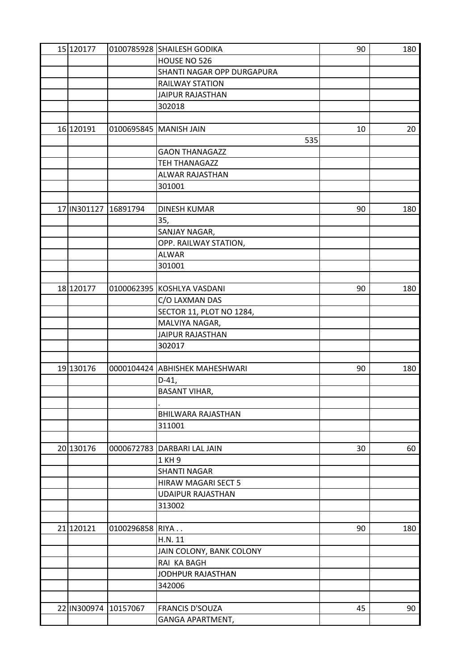| 15 120177            |                 | 0100785928 SHAILESH GODIKA     | 90 | 180 |
|----------------------|-----------------|--------------------------------|----|-----|
|                      |                 | HOUSE NO 526                   |    |     |
|                      |                 | SHANTI NAGAR OPP DURGAPURA     |    |     |
|                      |                 | <b>RAILWAY STATION</b>         |    |     |
|                      |                 | JAIPUR RAJASTHAN               |    |     |
|                      |                 | 302018                         |    |     |
|                      |                 |                                |    |     |
| 16 120191            |                 | 0100695845   MANISH JAIN       | 10 | 20  |
|                      |                 | 535                            |    |     |
|                      |                 | <b>GAON THANAGAZZ</b>          |    |     |
|                      |                 | TEH THANAGAZZ                  |    |     |
|                      |                 | ALWAR RAJASTHAN                |    |     |
|                      |                 | 301001                         |    |     |
|                      |                 |                                |    |     |
| 17 IN301127          | 16891794        | <b>DINESH KUMAR</b>            | 90 | 180 |
|                      |                 | 35,                            |    |     |
|                      |                 | SANJAY NAGAR,                  |    |     |
|                      |                 | OPP. RAILWAY STATION,          |    |     |
|                      |                 | <b>ALWAR</b>                   |    |     |
|                      |                 | 301001                         |    |     |
|                      |                 |                                |    |     |
| 18 120177            |                 | 0100062395 KOSHLYA VASDANI     | 90 | 180 |
|                      |                 | C/O LAXMAN DAS                 |    |     |
|                      |                 | SECTOR 11, PLOT NO 1284,       |    |     |
|                      |                 | MALVIYA NAGAR,                 |    |     |
|                      |                 | <b>JAIPUR RAJASTHAN</b>        |    |     |
|                      |                 |                                |    |     |
|                      |                 | 302017                         |    |     |
| 19 130176            |                 |                                | 90 | 180 |
|                      |                 | 0000104424 ABHISHEK MAHESHWARI |    |     |
|                      |                 | $D-41,$                        |    |     |
|                      |                 | <b>BASANT VIHAR,</b>           |    |     |
|                      |                 |                                |    |     |
|                      |                 | <b>BHILWARA RAJASTHAN</b>      |    |     |
|                      |                 | 311001                         |    |     |
|                      |                 |                                |    |     |
| 20 130176            |                 | 0000672783 DARBARI LAL JAIN    | 30 | 60  |
|                      |                 | 1 KH 9                         |    |     |
|                      |                 | <b>SHANTI NAGAR</b>            |    |     |
|                      |                 | <b>HIRAW MAGARI SECT 5</b>     |    |     |
|                      |                 | <b>UDAIPUR RAJASTHAN</b>       |    |     |
|                      |                 | 313002                         |    |     |
|                      |                 |                                |    |     |
| 21 120121            | 0100296858 RIYA |                                | 90 | 180 |
|                      |                 | H.N. 11                        |    |     |
|                      |                 | JAIN COLONY, BANK COLONY       |    |     |
|                      |                 | RAI KA BAGH                    |    |     |
|                      |                 | JODHPUR RAJASTHAN              |    |     |
|                      |                 | 342006                         |    |     |
|                      |                 |                                |    |     |
| 22 IN300974 10157067 |                 | <b>FRANCIS D'SOUZA</b>         | 45 | 90  |
|                      |                 | <b>GANGA APARTMENT,</b>        |    |     |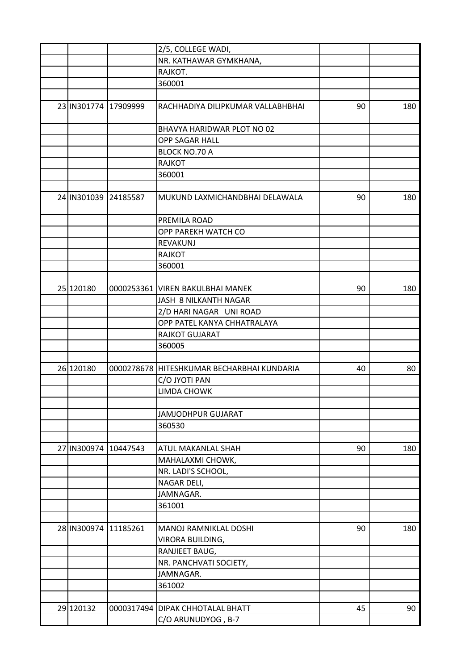|                      | 2/5, COLLEGE WADI,                         |    |     |
|----------------------|--------------------------------------------|----|-----|
|                      | NR. KATHAWAR GYMKHANA,                     |    |     |
|                      | RAJKOT.                                    |    |     |
|                      | 360001                                     |    |     |
|                      |                                            |    |     |
| 23 IN301774 17909999 | RACHHADIYA DILIPKUMAR VALLABHBHAI          | 90 | 180 |
|                      | BHAVYA HARIDWAR PLOT NO 02                 |    |     |
|                      | OPP SAGAR HALL                             |    |     |
|                      | BLOCK NO.70 A                              |    |     |
|                      | <b>RAJKOT</b>                              |    |     |
|                      | 360001                                     |    |     |
|                      |                                            |    |     |
| 24 IN301039 24185587 | MUKUND LAXMICHANDBHAI DELAWALA             | 90 | 180 |
|                      | PREMILA ROAD                               |    |     |
|                      | OPP PAREKH WATCH CO                        |    |     |
|                      | REVAKUNJ                                   |    |     |
|                      | <b>RAJKOT</b>                              |    |     |
|                      | 360001                                     |    |     |
|                      |                                            |    |     |
| 25 120180            | 0000253361 VIREN BAKULBHAI MANEK           | 90 | 180 |
|                      | JASH 8 NILKANTH NAGAR                      |    |     |
|                      | 2/D HARI NAGAR UNI ROAD                    |    |     |
|                      | OPP PATEL KANYA CHHATRALAYA                |    |     |
|                      | <b>RAJKOT GUJARAT</b>                      |    |     |
|                      | 360005                                     |    |     |
|                      |                                            |    |     |
| 26 120180            | 0000278678 HITESHKUMAR BECHARBHAI KUNDARIA | 40 | 80  |
|                      | C/O JYOTI PAN                              |    |     |
|                      | <b>LIMDA CHOWK</b>                         |    |     |
|                      |                                            |    |     |
|                      | <b>JAMJODHPUR GUJARAT</b>                  |    |     |
|                      | 360530                                     |    |     |
|                      |                                            |    |     |
|                      |                                            |    |     |
| 27 IN300974 10447543 | <b>ATUL MAKANLAL SHAH</b>                  | 90 | 180 |
|                      | MAHALAXMI CHOWK,                           |    |     |
|                      | NR. LADI'S SCHOOL,                         |    |     |
|                      | NAGAR DELI,                                |    |     |
|                      | JAMNAGAR.                                  |    |     |
|                      | 361001                                     |    |     |
|                      |                                            |    |     |
| 28 IN300974 11185261 | MANOJ RAMNIKLAL DOSHI                      | 90 | 180 |
|                      | VIRORA BUILDING,                           |    |     |
|                      | RANJIEET BAUG,                             |    |     |
|                      | NR. PANCHVATI SOCIETY,                     |    |     |
|                      | JAMNAGAR.                                  |    |     |
|                      | 361002                                     |    |     |
|                      |                                            |    |     |
| 29 120132            | 0000317494   DIPAK CHHOTALAL BHATT         | 45 | 90  |
|                      | C/O ARUNUDYOG, B-7                         |    |     |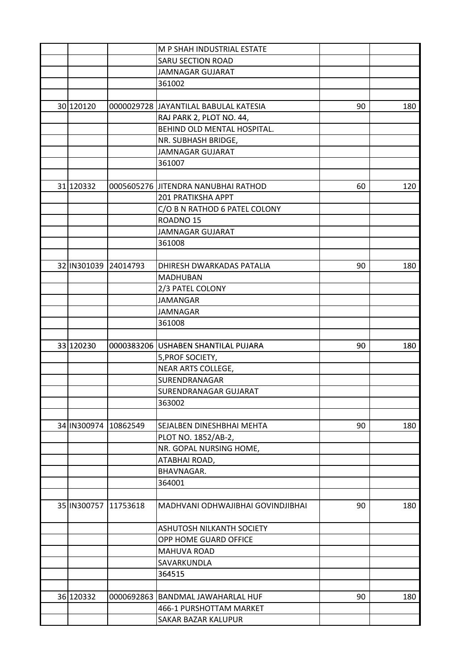|             |                      | M P SHAH INDUSTRIAL ESTATE                     |    |     |
|-------------|----------------------|------------------------------------------------|----|-----|
|             |                      | <b>SARU SECTION ROAD</b>                       |    |     |
|             |                      | <b>JAMNAGAR GUJARAT</b>                        |    |     |
|             |                      | 361002                                         |    |     |
|             |                      |                                                |    |     |
| 30 120120   |                      | 0000029728 JJAYANTILAL BABULAL KATESIA         | 90 | 180 |
|             |                      | RAJ PARK 2, PLOT NO. 44,                       |    |     |
|             |                      | BEHIND OLD MENTAL HOSPITAL.                    |    |     |
|             |                      | NR. SUBHASH BRIDGE,                            |    |     |
|             |                      | <b>JAMNAGAR GUJARAT</b>                        |    |     |
|             |                      | 361007                                         |    |     |
|             |                      |                                                |    |     |
| 31 120332   |                      | 0005605276 JITENDRA NANUBHAI RATHOD            | 60 | 120 |
|             |                      | 201 PRATIKSHA APPT                             |    |     |
|             |                      | C/O B N RATHOD 6 PATEL COLONY                  |    |     |
|             |                      | ROADNO <sub>15</sub>                           |    |     |
|             |                      | <b>JAMNAGAR GUJARAT</b>                        |    |     |
|             |                      | 361008                                         |    |     |
|             |                      |                                                |    |     |
| 32 IN301039 | 24014793             | DHIRESH DWARKADAS PATALIA                      | 90 | 180 |
|             |                      | <b>MADHUBAN</b>                                |    |     |
|             |                      | 2/3 PATEL COLONY                               |    |     |
|             |                      | <b>JAMANGAR</b>                                |    |     |
|             |                      | <b>JAMNAGAR</b>                                |    |     |
|             |                      | 361008                                         |    |     |
|             |                      |                                                |    |     |
| 33 120230   |                      | 0000383206 USHABEN SHANTILAL PUJARA            | 90 | 180 |
|             |                      | 5, PROF SOCIETY,                               |    |     |
|             |                      | NEAR ARTS COLLEGE,                             |    |     |
|             |                      | SURENDRANAGAR                                  |    |     |
|             |                      | SURENDRANAGAR GUJARAT                          |    |     |
|             |                      | 363002                                         |    |     |
|             |                      |                                                |    |     |
| 34 IN300974 | 10862549             |                                                | 90 | 180 |
|             |                      | SEJALBEN DINESHBHAI MEHTA                      |    |     |
|             |                      | PLOT NO. 1852/AB-2,<br>NR. GOPAL NURSING HOME, |    |     |
|             |                      |                                                |    |     |
|             |                      | ATABHAI ROAD,<br>BHAVNAGAR.                    |    |     |
|             |                      |                                                |    |     |
|             |                      | 364001                                         |    |     |
|             |                      |                                                |    |     |
|             | 35 IN300757 11753618 | MADHVANI ODHWAJIBHAI GOVINDJIBHAI              | 90 | 180 |
|             |                      |                                                |    |     |
|             |                      | ASHUTOSH NILKANTH SOCIETY                      |    |     |
|             |                      | OPP HOME GUARD OFFICE                          |    |     |
|             |                      | MAHUVA ROAD                                    |    |     |
|             |                      | SAVARKUNDLA                                    |    |     |
|             |                      | 364515                                         |    |     |
|             |                      |                                                |    |     |
| 36 120332   |                      | 0000692863 BANDMAL JAWAHARLAL HUF              | 90 | 180 |
|             |                      | 466-1 PURSHOTTAM MARKET                        |    |     |
|             |                      | SAKAR BAZAR KALUPUR                            |    |     |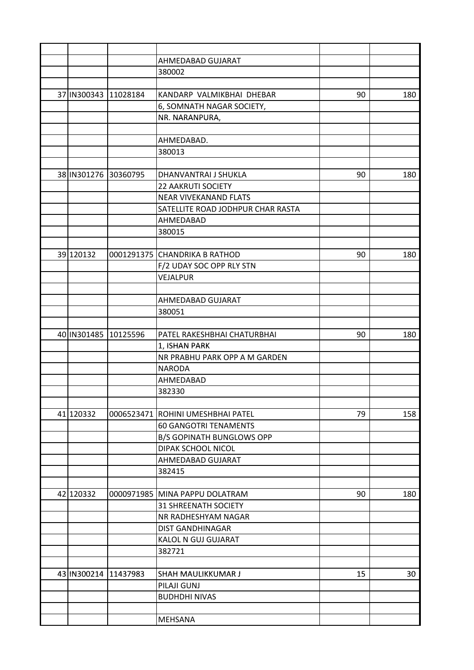|                      | AHMEDABAD GUJARAT                 |    |     |
|----------------------|-----------------------------------|----|-----|
|                      | 380002                            |    |     |
|                      |                                   |    |     |
| 37 IN300343 11028184 | KANDARP VALMIKBHAI DHEBAR         | 90 | 180 |
|                      | 6, SOMNATH NAGAR SOCIETY,         |    |     |
|                      | NR. NARANPURA,                    |    |     |
|                      |                                   |    |     |
|                      | AHMEDABAD.                        |    |     |
|                      | 380013                            |    |     |
|                      |                                   |    |     |
| 38 IN301276 30360795 | DHANVANTRAI J SHUKLA              | 90 | 180 |
|                      | <b>22 AAKRUTI SOCIETY</b>         |    |     |
|                      | <b>NEAR VIVEKANAND FLATS</b>      |    |     |
|                      | SATELLITE ROAD JODHPUR CHAR RASTA |    |     |
|                      | AHMEDABAD                         |    |     |
|                      | 380015                            |    |     |
|                      |                                   |    |     |
| 39 120132            | 0001291375 CHANDRIKA B RATHOD     | 90 | 180 |
|                      | F/2 UDAY SOC OPP RLY STN          |    |     |
|                      | VEJALPUR                          |    |     |
|                      |                                   |    |     |
|                      | AHMEDABAD GUJARAT                 |    |     |
|                      | 380051                            |    |     |
|                      |                                   |    |     |
| 40 IN301485 10125596 | PATEL RAKESHBHAI CHATURBHAI       | 90 | 180 |
|                      | 1, ISHAN PARK                     |    |     |
|                      | NR PRABHU PARK OPP A M GARDEN     |    |     |
|                      | <b>NARODA</b>                     |    |     |
|                      | AHMEDABAD                         |    |     |
|                      | 382330                            |    |     |
|                      |                                   |    |     |
| 41 120332            | 0006523471 ROHINI UMESHBHAI PATEL | 79 | 158 |
|                      | <b>60 GANGOTRI TENAMENTS</b>      |    |     |
|                      | <b>B/S GOPINATH BUNGLOWS OPP</b>  |    |     |
|                      | DIPAK SCHOOL NICOL                |    |     |
|                      | AHMEDABAD GUJARAT                 |    |     |
|                      | 382415                            |    |     |
|                      |                                   |    |     |
| 42 120332            | 0000971985 MINA PAPPU DOLATRAM    | 90 | 180 |
|                      | <b>31 SHREENATH SOCIETY</b>       |    |     |
|                      | NR RADHESHYAM NAGAR               |    |     |
|                      | <b>DIST GANDHINAGAR</b>           |    |     |
|                      | KALOL N GUJ GUJARAT               |    |     |
|                      | 382721                            |    |     |
|                      |                                   |    |     |
| 43 IN300214 11437983 | SHAH MAULIKKUMAR J                | 15 | 30  |
|                      | PILAJI GUNJ                       |    |     |
|                      | <b>BUDHDHI NIVAS</b>              |    |     |
|                      |                                   |    |     |
|                      | MEHSANA                           |    |     |
|                      |                                   |    |     |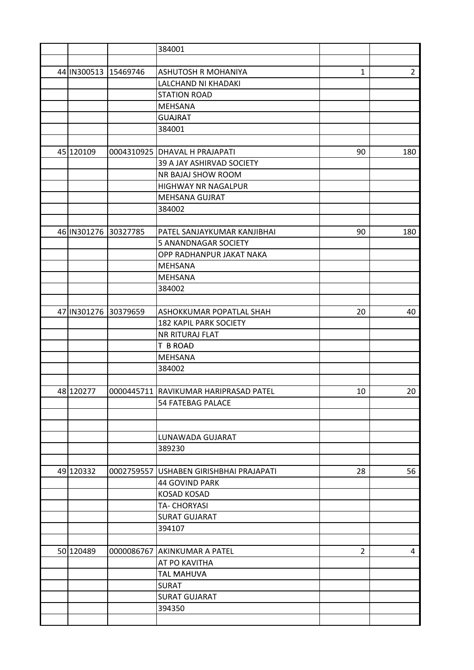|                      |            | 384001                                |                |                |
|----------------------|------------|---------------------------------------|----------------|----------------|
|                      |            |                                       |                |                |
| 44 IN300513 15469746 |            | ASHUTOSH R MOHANIYA                   | $\mathbf{1}$   | $\overline{2}$ |
|                      |            | LALCHAND NI KHADAKI                   |                |                |
|                      |            | <b>STATION ROAD</b>                   |                |                |
|                      |            | <b>MEHSANA</b>                        |                |                |
|                      |            | <b>GUAJRAT</b>                        |                |                |
|                      |            | 384001                                |                |                |
|                      |            |                                       |                |                |
| 45 120109            |            | 0004310925 DHAVAL H PRAJAPATI         | 90             | 180            |
|                      |            | 39 A JAY ASHIRVAD SOCIETY             |                |                |
|                      |            | NR BAJAJ SHOW ROOM                    |                |                |
|                      |            | <b>HIGHWAY NR NAGALPUR</b>            |                |                |
|                      |            | MEHSANA GUJRAT                        |                |                |
|                      |            | 384002                                |                |                |
|                      |            |                                       |                |                |
| 46 IN301276 30327785 |            | PATEL SANJAYKUMAR KANJIBHAI           | 90             | 180            |
|                      |            | 5 ANANDNAGAR SOCIETY                  |                |                |
|                      |            | OPP RADHANPUR JAKAT NAKA              |                |                |
|                      |            | <b>MEHSANA</b>                        |                |                |
|                      |            | <b>MEHSANA</b>                        |                |                |
|                      |            | 384002                                |                |                |
|                      |            |                                       |                |                |
| 47 IN301276 30379659 |            | <b>ASHOKKUMAR POPATLAL SHAH</b>       | 20             | 40             |
|                      |            | <b>182 KAPIL PARK SOCIETY</b>         |                |                |
|                      |            | <b>NR RITURAJ FLAT</b>                |                |                |
|                      |            | T B ROAD                              |                |                |
|                      |            | <b>MEHSANA</b>                        |                |                |
|                      |            | 384002                                |                |                |
|                      |            |                                       |                |                |
| 48 120277            |            | 0000445711 RAVIKUMAR HARIPRASAD PATEL | 10             | 20             |
|                      |            | <b>54 FATEBAG PALACE</b>              |                |                |
|                      |            |                                       |                |                |
|                      |            |                                       |                |                |
|                      |            | LUNAWADA GUJARAT                      |                |                |
|                      |            | 389230                                |                |                |
|                      |            |                                       |                |                |
| 49 120332            | 0002759557 | USHABEN GIRISHBHAI PRAJAPATI          | 28             | 56             |
|                      |            | 44 GOVIND PARK                        |                |                |
|                      |            | <b>KOSAD KOSAD</b>                    |                |                |
|                      |            | TA- CHORYASI                          |                |                |
|                      |            | <b>SURAT GUJARAT</b>                  |                |                |
|                      |            | 394107                                |                |                |
|                      |            |                                       |                |                |
| 50 120489            |            | 0000086767 AKINKUMAR A PATEL          | $\overline{2}$ | 4              |
|                      |            | AT PO KAVITHA                         |                |                |
|                      |            | <b>TAL MAHUVA</b>                     |                |                |
|                      |            | <b>SURAT</b>                          |                |                |
|                      |            | <b>SURAT GUJARAT</b>                  |                |                |
|                      |            | 394350                                |                |                |
|                      |            |                                       |                |                |
|                      |            |                                       |                |                |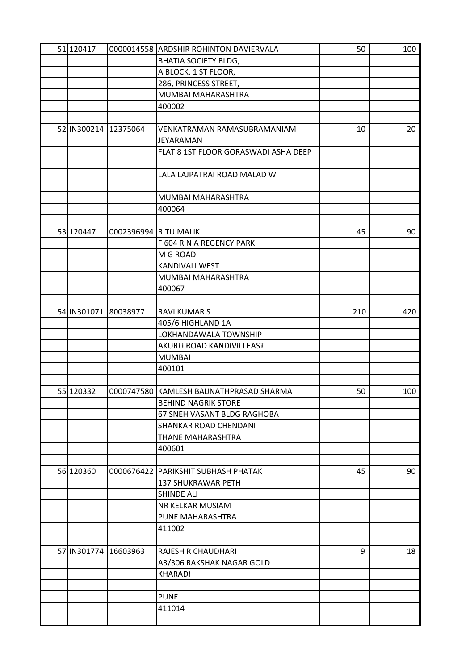| 51 120417            |                       | 0000014558 ARDSHIR ROHINTON DAVIERVALA   | 50  | 100 |
|----------------------|-----------------------|------------------------------------------|-----|-----|
|                      |                       | <b>BHATIA SOCIETY BLDG,</b>              |     |     |
|                      |                       | A BLOCK, 1 ST FLOOR,                     |     |     |
|                      |                       | 286, PRINCESS STREET,                    |     |     |
|                      |                       | MUMBAI MAHARASHTRA                       |     |     |
|                      |                       | 400002                                   |     |     |
|                      |                       |                                          |     |     |
| 52 IN300214 12375064 |                       | VENKATRAMAN RAMASUBRAMANIAM              | 10  | 20  |
|                      |                       | <b>JEYARAMAN</b>                         |     |     |
|                      |                       | FLAT 8 1ST FLOOR GORASWADI ASHA DEEP     |     |     |
|                      |                       |                                          |     |     |
|                      |                       | LALA LAJPATRAI ROAD MALAD W              |     |     |
|                      |                       |                                          |     |     |
|                      |                       | MUMBAI MAHARASHTRA                       |     |     |
|                      |                       | 400064                                   |     |     |
|                      |                       |                                          |     |     |
| 53 120447            | 0002396994 RITU MALIK |                                          | 45  | 90  |
|                      |                       | F 604 R N A REGENCY PARK                 |     |     |
|                      |                       | M G ROAD                                 |     |     |
|                      |                       | <b>KANDIVALI WEST</b>                    |     |     |
|                      |                       | MUMBAI MAHARASHTRA                       |     |     |
|                      |                       | 400067                                   |     |     |
|                      |                       |                                          |     |     |
| 54 IN301071 80038977 |                       | <b>RAVI KUMAR S</b>                      | 210 | 420 |
|                      |                       |                                          |     |     |
|                      |                       | 405/6 HIGHLAND 1A                        |     |     |
|                      |                       | LOKHANDAWALA TOWNSHIP                    |     |     |
|                      |                       | AKURLI ROAD KANDIVILI EAST               |     |     |
|                      |                       | <b>MUMBAI</b>                            |     |     |
|                      |                       | 400101                                   |     |     |
|                      |                       |                                          |     |     |
| 55 120332            |                       | 0000747580 KAMLESH BAIJNATHPRASAD SHARMA | 50  | 100 |
|                      |                       | <b>BEHIND NAGRIK STORE</b>               |     |     |
|                      |                       | 67 SNEH VASANT BLDG RAGHOBA              |     |     |
|                      |                       | SHANKAR ROAD CHENDANI                    |     |     |
|                      |                       | THANE MAHARASHTRA                        |     |     |
|                      |                       | 400601                                   |     |     |
|                      |                       |                                          |     |     |
| 56 120360            |                       | 0000676422 PARIKSHIT SUBHASH PHATAK      | 45  | 90  |
|                      |                       | <b>137 SHUKRAWAR PETH</b>                |     |     |
|                      |                       | <b>SHINDE ALI</b>                        |     |     |
|                      |                       | <b>NR KELKAR MUSIAM</b>                  |     |     |
|                      |                       | PUNE MAHARASHTRA                         |     |     |
|                      |                       | 411002                                   |     |     |
|                      |                       |                                          |     |     |
| 57 IN301774 16603963 |                       | <b>RAJESH R CHAUDHARI</b>                | 9   | 18  |
|                      |                       | A3/306 RAKSHAK NAGAR GOLD                |     |     |
|                      |                       | <b>KHARADI</b>                           |     |     |
|                      |                       |                                          |     |     |
|                      |                       | <b>PUNE</b>                              |     |     |
|                      |                       | 411014                                   |     |     |
|                      |                       |                                          |     |     |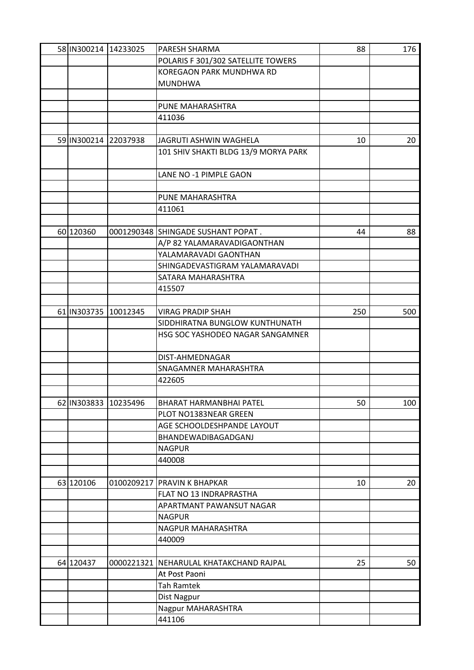| 58 IN300214 14233025 |          | PARESH SHARMA                           | 88  | 176 |
|----------------------|----------|-----------------------------------------|-----|-----|
|                      |          | POLARIS F 301/302 SATELLITE TOWERS      |     |     |
|                      |          | KOREGAON PARK MUNDHWA RD                |     |     |
|                      |          | <b>MUNDHWA</b>                          |     |     |
|                      |          |                                         |     |     |
|                      |          | PUNE MAHARASHTRA                        |     |     |
|                      |          | 411036                                  |     |     |
|                      |          |                                         |     |     |
| 59 IN300214 22037938 |          | JAGRUTI ASHWIN WAGHELA                  | 10  | 20  |
|                      |          | 101 SHIV SHAKTI BLDG 13/9 MORYA PARK    |     |     |
|                      |          |                                         |     |     |
|                      |          | LANE NO -1 PIMPLE GAON                  |     |     |
|                      |          |                                         |     |     |
|                      |          | PUNE MAHARASHTRA                        |     |     |
|                      |          | 411061                                  |     |     |
|                      |          |                                         |     |     |
| 60 120360            |          | 0001290348 SHINGADE SUSHANT POPAT.      | 44  | 88  |
|                      |          | A/P 82 YALAMARAVADIGAONTHAN             |     |     |
|                      |          | YALAMARAVADI GAONTHAN                   |     |     |
|                      |          | SHINGADEVASTIGRAM YALAMARAVADI          |     |     |
|                      |          | SATARA MAHARASHTRA                      |     |     |
|                      |          | 415507                                  |     |     |
|                      |          |                                         |     |     |
| 61 IN303735          | 10012345 | <b>VIRAG PRADIP SHAH</b>                | 250 | 500 |
|                      |          | SIDDHIRATNA BUNGLOW KUNTHUNATH          |     |     |
|                      |          |                                         |     |     |
|                      |          | HSG SOC YASHODEO NAGAR SANGAMNER        |     |     |
|                      |          | DIST-AHMEDNAGAR                         |     |     |
|                      |          |                                         |     |     |
|                      |          | SNAGAMNER MAHARASHTRA                   |     |     |
|                      |          | 422605                                  |     |     |
|                      |          |                                         |     |     |
| 62 IN303833 10235496 |          | BHARAT HARMANBHAI PATEL                 | 50  | 100 |
|                      |          | PLOT NO1383NEAR GREEN                   |     |     |
|                      |          | AGE SCHOOLDESHPANDE LAYOUT              |     |     |
|                      |          | BHANDEWADIBAGADGANJ                     |     |     |
|                      |          | <b>NAGPUR</b>                           |     |     |
|                      |          | 440008                                  |     |     |
|                      |          |                                         |     |     |
| 63 120106            |          | 0100209217 PRAVIN K BHAPKAR             | 10  | 20  |
|                      |          | FLAT NO 13 INDRAPRASTHA                 |     |     |
|                      |          | APARTMANT PAWANSUT NAGAR                |     |     |
|                      |          | <b>NAGPUR</b>                           |     |     |
|                      |          | NAGPUR MAHARASHTRA                      |     |     |
|                      |          | 440009                                  |     |     |
|                      |          |                                         |     |     |
| 64 120437            |          | 0000221321 NEHARULAL KHATAKCHAND RAJPAL | 25  | 50  |
|                      |          | At Post Paoni                           |     |     |
|                      |          | <b>Tah Ramtek</b>                       |     |     |
|                      |          | Dist Nagpur                             |     |     |
|                      |          | Nagpur MAHARASHTRA                      |     |     |
|                      |          | 441106                                  |     |     |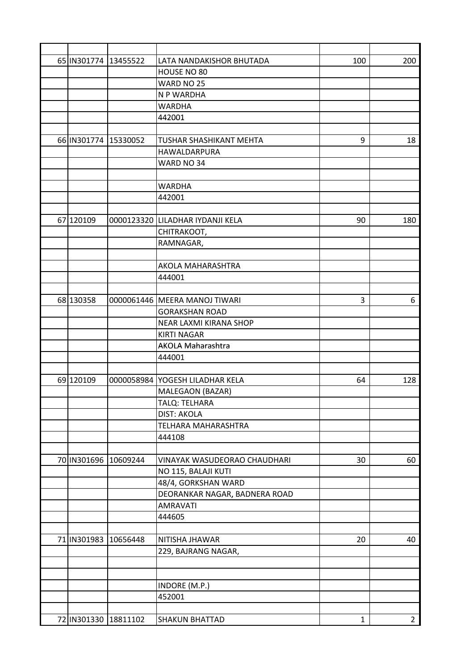| 65 IN301774 13455522 |                      | LATA NANDAKISHOR BHUTADA         | 100          | 200            |
|----------------------|----------------------|----------------------------------|--------------|----------------|
|                      |                      | HOUSE NO 80                      |              |                |
|                      |                      | WARD NO 25                       |              |                |
|                      |                      | N P WARDHA                       |              |                |
|                      |                      | <b>WARDHA</b>                    |              |                |
|                      |                      | 442001                           |              |                |
|                      |                      |                                  |              |                |
| 66 IN301774 15330052 |                      | TUSHAR SHASHIKANT MEHTA          | 9            | 18             |
|                      |                      | HAWALDARPURA                     |              |                |
|                      |                      | WARD NO 34                       |              |                |
|                      |                      |                                  |              |                |
|                      |                      | <b>WARDHA</b>                    |              |                |
|                      |                      | 442001                           |              |                |
|                      |                      |                                  |              |                |
| 67 120109            |                      | 0000123320 LILADHAR IYDANJI KELA | 90           | 180            |
|                      |                      | CHITRAKOOT,                      |              |                |
|                      |                      | RAMNAGAR,                        |              |                |
|                      |                      |                                  |              |                |
|                      |                      | AKOLA MAHARASHTRA                |              |                |
|                      |                      | 444001                           |              |                |
|                      |                      |                                  |              |                |
| 68 130358            |                      | 0000061446 MEERA MANOJ TIWARI    | 3            | 6              |
|                      |                      | <b>GORAKSHAN ROAD</b>            |              |                |
|                      |                      | NEAR LAXMI KIRANA SHOP           |              |                |
|                      |                      | <b>KIRTI NAGAR</b>               |              |                |
|                      |                      | <b>AKOLA Maharashtra</b>         |              |                |
|                      |                      | 444001                           |              |                |
|                      |                      |                                  |              |                |
| 69 120109            |                      | 0000058984 YOGESH LILADHAR KELA  | 64           | 128            |
|                      |                      | MALEGAON (BAZAR)                 |              |                |
|                      |                      | TALQ: TELHARA                    |              |                |
|                      |                      | <b>DIST: AKOLA</b>               |              |                |
|                      |                      | TELHARA MAHARASHTRA              |              |                |
|                      |                      | 444108                           |              |                |
|                      |                      |                                  |              |                |
| 70 IN301696 10609244 |                      | VINAYAK WASUDEORAO CHAUDHARI     | 30           | 60             |
|                      |                      | NO 115, BALAJI KUTI              |              |                |
|                      |                      | 48/4, GORKSHAN WARD              |              |                |
|                      |                      | DEORANKAR NAGAR, BADNERA ROAD    |              |                |
|                      |                      | <b>AMRAVATI</b>                  |              |                |
|                      |                      | 444605                           |              |                |
|                      |                      |                                  |              |                |
| 71 IN301983 10656448 |                      | NITISHA JHAWAR                   | 20           | 40             |
|                      |                      | 229, BAJRANG NAGAR,              |              |                |
|                      |                      |                                  |              |                |
|                      |                      |                                  |              |                |
|                      |                      | INDORE (M.P.)                    |              |                |
|                      |                      | 452001                           |              |                |
|                      |                      |                                  |              |                |
|                      | 72 IN301330 18811102 | <b>SHAKUN BHATTAD</b>            | $\mathbf{1}$ | 2 <sub>1</sub> |
|                      |                      |                                  |              |                |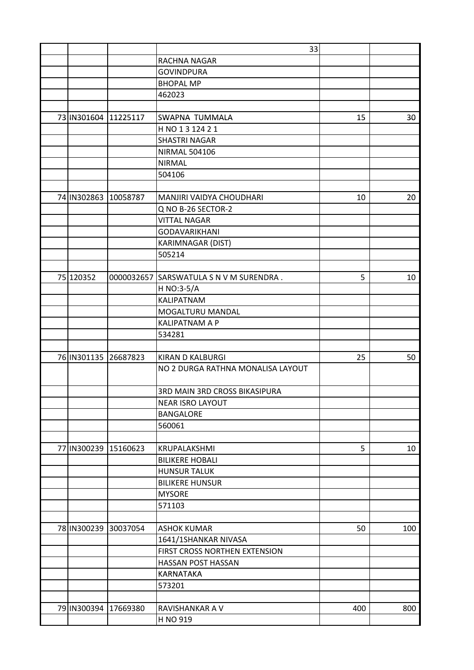|             |                      | 33                                      |     |     |
|-------------|----------------------|-----------------------------------------|-----|-----|
|             |                      | RACHNA NAGAR                            |     |     |
|             |                      | <b>GOVINDPURA</b>                       |     |     |
|             |                      | <b>BHOPAL MP</b>                        |     |     |
|             |                      | 462023                                  |     |     |
|             |                      |                                         |     |     |
|             | 73 IN301604 11225117 | <b>SWAPNA TUMMALA</b>                   | 15  | 30  |
|             |                      | H NO 1 3 124 2 1                        |     |     |
|             |                      | <b>SHASTRI NAGAR</b>                    |     |     |
|             |                      | <b>NIRMAL 504106</b>                    |     |     |
|             |                      | <b>NIRMAL</b>                           |     |     |
|             |                      | 504106                                  |     |     |
|             |                      |                                         |     |     |
|             | 74 IN302863 10058787 | <b>MANJIRI VAIDYA CHOUDHARI</b>         | 10  | 20  |
|             |                      | Q NO B-26 SECTOR-2                      |     |     |
|             |                      | <b>VITTAL NAGAR</b>                     |     |     |
|             |                      | <b>GODAVARIKHANI</b>                    |     |     |
|             |                      |                                         |     |     |
|             |                      | <b>KARIMNAGAR (DIST)</b>                |     |     |
|             |                      | 505214                                  |     |     |
|             |                      |                                         |     |     |
| 75 120352   |                      | 0000032657 SARSWATULA S N V M SURENDRA. | 5   | 10  |
|             |                      | H NO:3-5/A                              |     |     |
|             |                      | <b>KALIPATNAM</b>                       |     |     |
|             |                      | MOGALTURU MANDAL                        |     |     |
|             |                      | <b>KALIPATNAM A P</b>                   |     |     |
|             |                      | 534281                                  |     |     |
|             |                      |                                         |     |     |
|             | 76 IN301135 26687823 | <b>KIRAN D KALBURGI</b>                 | 25  | 50  |
|             |                      | NO 2 DURGA RATHNA MONALISA LAYOUT       |     |     |
|             |                      | <b>3RD MAIN 3RD CROSS BIKASIPURA</b>    |     |     |
|             |                      | <b>NEAR ISRO LAYOUT</b>                 |     |     |
|             |                      | <b>BANGALORE</b>                        |     |     |
|             |                      | 560061                                  |     |     |
|             |                      |                                         |     |     |
|             | 77 IN300239 15160623 | KRUPALAKSHMI                            | 5   | 10  |
|             |                      | <b>BILIKERE HOBALI</b>                  |     |     |
|             |                      | <b>HUNSUR TALUK</b>                     |     |     |
|             |                      | <b>BILIKERE HUNSUR</b>                  |     |     |
|             |                      | <b>MYSORE</b>                           |     |     |
|             |                      | 571103                                  |     |     |
|             |                      |                                         |     |     |
| 78 IN300239 | 30037054             | <b>ASHOK KUMAR</b>                      | 50  | 100 |
|             |                      | 1641/1SHANKAR NIVASA                    |     |     |
|             |                      | FIRST CROSS NORTHEN EXTENSION           |     |     |
|             |                      | HASSAN POST HASSAN                      |     |     |
|             |                      | <b>KARNATAKA</b>                        |     |     |
|             |                      | 573201                                  |     |     |
|             |                      |                                         |     |     |
|             | 79 IN300394 17669380 | RAVISHANKAR A V                         | 400 | 800 |
|             |                      | H NO 919                                |     |     |
|             |                      |                                         |     |     |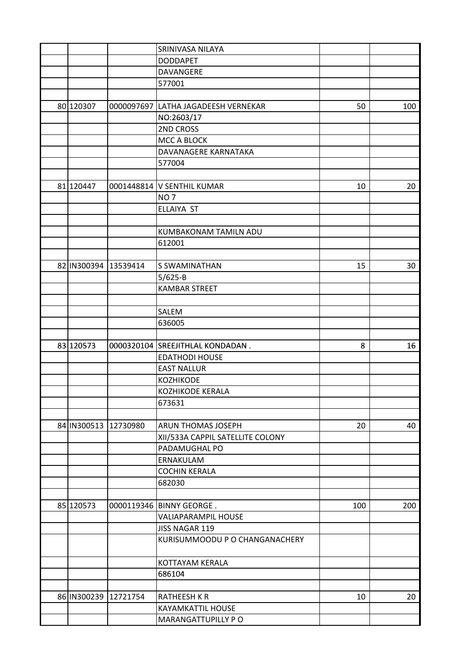|           |                      | SRINIVASA NILAYA                    |     |     |
|-----------|----------------------|-------------------------------------|-----|-----|
|           |                      | <b>DODDAPET</b>                     |     |     |
|           |                      | <b>DAVANGERE</b>                    |     |     |
|           |                      | 577001                              |     |     |
|           |                      |                                     |     |     |
| 80 120307 |                      | 0000097697 LATHA JAGADEESH VERNEKAR | 50  | 100 |
|           |                      | NO:2603/17                          |     |     |
|           |                      | 2ND CROSS                           |     |     |
|           |                      | <b>MCC A BLOCK</b>                  |     |     |
|           |                      | DAVANAGERE KARNATAKA                |     |     |
|           |                      | 577004                              |     |     |
|           |                      |                                     |     |     |
| 81 120447 |                      | 0001448814 V SENTHIL KUMAR          | 10  | 20  |
|           |                      | <b>NO7</b>                          |     |     |
|           |                      | ELLAIYA ST                          |     |     |
|           |                      |                                     |     |     |
|           |                      | <b>KUMBAKONAM TAMILN ADU</b>        |     |     |
|           |                      | 612001                              |     |     |
|           |                      |                                     |     |     |
|           | 82 IN300394 13539414 | S SWAMINATHAN                       | 15  | 30  |
|           |                      | 5/625-B                             |     |     |
|           |                      | <b>KAMBAR STREET</b>                |     |     |
|           |                      |                                     |     |     |
|           |                      | SALEM                               |     |     |
|           |                      | 636005                              |     |     |
|           |                      |                                     |     |     |
| 83 120573 |                      | 0000320104 SREEJITHLAL KONDADAN.    | 8   | 16  |
|           |                      | <b>EDATHODI HOUSE</b>               |     |     |
|           |                      | <b>EAST NALLUR</b>                  |     |     |
|           |                      | <b>KOZHIKODE</b>                    |     |     |
|           |                      | KOZHIKODE KERALA                    |     |     |
|           |                      | 673631                              |     |     |
|           |                      |                                     |     |     |
|           | 84 IN300513 12730980 | <b>ARUN THOMAS JOSEPH</b>           | 20  | 40  |
|           |                      | XII/533A CAPPIL SATELLITE COLONY    |     |     |
|           |                      | PADAMUGHAL PO                       |     |     |
|           |                      | ERNAKULAM                           |     |     |
|           |                      | <b>COCHIN KERALA</b>                |     |     |
|           |                      | 682030                              |     |     |
|           |                      |                                     |     |     |
| 85 120573 |                      | 0000119346 BINNY GEORGE.            | 100 | 200 |
|           |                      | VALIAPARAMPIL HOUSE                 |     |     |
|           |                      | JISS NAGAR 119                      |     |     |
|           |                      | KURISUMMOODU P O CHANGANACHERY      |     |     |
|           |                      |                                     |     |     |
|           |                      | KOTTAYAM KERALA                     |     |     |
|           |                      | 686104                              |     |     |
|           |                      |                                     |     |     |
|           | 86 IN300239 12721754 | <b>RATHEESH K R</b>                 | 10  | 20  |
|           |                      | KAYAMKATTIL HOUSE                   |     |     |
|           |                      | MARANGATTUPILLY PO                  |     |     |
|           |                      |                                     |     |     |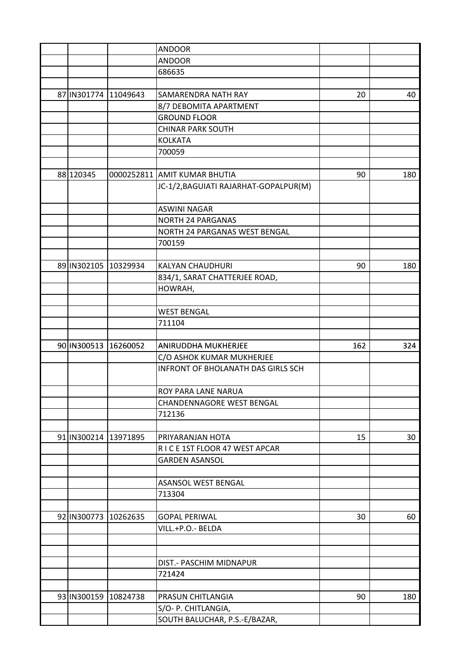|             |                      | <b>ANDOOR</b>                             |     |     |
|-------------|----------------------|-------------------------------------------|-----|-----|
|             |                      | <b>ANDOOR</b>                             |     |     |
|             |                      | 686635                                    |     |     |
|             |                      |                                           |     |     |
| 87 IN301774 | 11049643             | SAMARENDRA NATH RAY                       | 20  | 40  |
|             |                      | 8/7 DEBOMITA APARTMENT                    |     |     |
|             |                      | <b>GROUND FLOOR</b>                       |     |     |
|             |                      | <b>CHINAR PARK SOUTH</b>                  |     |     |
|             |                      | <b>KOLKATA</b>                            |     |     |
|             |                      | 700059                                    |     |     |
|             |                      |                                           |     |     |
| 88 120345   |                      | 0000252811 AMIT KUMAR BHUTIA              | 90  | 180 |
|             |                      | JC-1/2, BAGUIATI RAJARHAT-GOPALPUR(M)     |     |     |
|             |                      |                                           |     |     |
|             |                      | <b>ASWINI NAGAR</b>                       |     |     |
|             |                      | NORTH 24 PARGANAS                         |     |     |
|             |                      | NORTH 24 PARGANAS WEST BENGAL             |     |     |
|             |                      | 700159                                    |     |     |
|             |                      |                                           |     |     |
|             | 89 IN302105 10329934 | <b>KALYAN CHAUDHURI</b>                   | 90  | 180 |
|             |                      |                                           |     |     |
|             |                      | 834/1, SARAT CHATTERJEE ROAD,             |     |     |
|             |                      | HOWRAH,                                   |     |     |
|             |                      |                                           |     |     |
|             |                      | <b>WEST BENGAL</b>                        |     |     |
|             |                      | 711104                                    |     |     |
|             |                      |                                           |     |     |
|             | 90 IN300513 16260052 | <b>ANIRUDDHA MUKHERJEE</b>                | 162 | 324 |
|             |                      | C/O ASHOK KUMAR MUKHERJEE                 |     |     |
|             |                      | <b>INFRONT OF BHOLANATH DAS GIRLS SCH</b> |     |     |
|             |                      | <b>ROY PARA LANE NARUA</b>                |     |     |
|             |                      | CHANDENNAGORE WEST BENGAL                 |     |     |
|             |                      | 712136                                    |     |     |
|             |                      |                                           |     |     |
|             | 91 IN300214 13971895 | PRIYARANJAN HOTA                          | 15  | 30  |
|             |                      | RICE 1ST FLOOR 47 WEST APCAR              |     |     |
|             |                      | <b>GARDEN ASANSOL</b>                     |     |     |
|             |                      |                                           |     |     |
|             |                      | ASANSOL WEST BENGAL                       |     |     |
|             |                      | 713304                                    |     |     |
|             |                      |                                           |     |     |
|             | 92 IN300773 10262635 | <b>GOPAL PERIWAL</b>                      | 30  | 60  |
|             |                      | VILL.+P.O.- BELDA                         |     |     |
|             |                      |                                           |     |     |
|             |                      |                                           |     |     |
|             |                      | DIST.- PASCHIM MIDNAPUR                   |     |     |
|             |                      | 721424                                    |     |     |
|             |                      |                                           |     |     |
|             | 93 IN300159 10824738 | PRASUN CHITLANGIA                         | 90  | 180 |
|             |                      | S/O- P. CHITLANGIA,                       |     |     |
|             |                      | SOUTH BALUCHAR, P.S.-E/BAZAR,             |     |     |
|             |                      |                                           |     |     |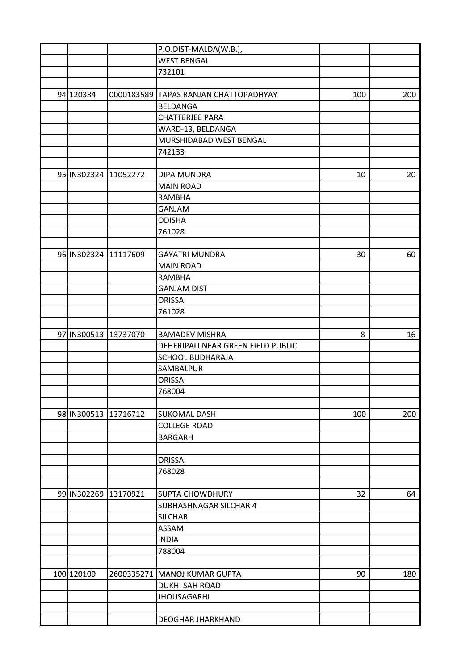|                      | P.O.DIST-MALDA(W.B.),                 |     |     |
|----------------------|---------------------------------------|-----|-----|
|                      | <b>WEST BENGAL.</b>                   |     |     |
|                      | 732101                                |     |     |
|                      |                                       |     |     |
| 94 120384            | 0000183589 TAPAS RANJAN CHATTOPADHYAY | 100 | 200 |
|                      | <b>BELDANGA</b>                       |     |     |
|                      | <b>CHATTERJEE PARA</b>                |     |     |
|                      | WARD-13, BELDANGA                     |     |     |
|                      | MURSHIDABAD WEST BENGAL               |     |     |
|                      | 742133                                |     |     |
|                      |                                       |     |     |
| 95 IN302324 11052272 | <b>DIPA MUNDRA</b>                    | 10  | 20  |
|                      | <b>MAIN ROAD</b>                      |     |     |
|                      | RAMBHA                                |     |     |
|                      | <b>GANJAM</b>                         |     |     |
|                      | <b>ODISHA</b>                         |     |     |
|                      | 761028                                |     |     |
|                      |                                       |     |     |
| 96 IN302324 11117609 | <b>GAYATRI MUNDRA</b>                 | 30  | 60  |
|                      | <b>MAIN ROAD</b>                      |     |     |
|                      | <b>RAMBHA</b>                         |     |     |
|                      | <b>GANJAM DIST</b>                    |     |     |
|                      | <b>ORISSA</b>                         |     |     |
|                      | 761028                                |     |     |
|                      |                                       |     |     |
| 97 IN300513 13737070 | <b>BAMADEV MISHRA</b>                 | 8   | 16  |
|                      | DEHERIPALI NEAR GREEN FIELD PUBLIC    |     |     |
|                      | <b>SCHOOL BUDHARAJA</b>               |     |     |
|                      | SAMBALPUR                             |     |     |
|                      | <b>ORISSA</b>                         |     |     |
|                      | 768004                                |     |     |
|                      |                                       |     |     |
| 98 IN300513 13716712 | <b>SUKOMAL DASH</b>                   | 100 | 200 |
|                      | <b>COLLEGE ROAD</b>                   |     |     |
|                      | <b>BARGARH</b>                        |     |     |
|                      |                                       |     |     |
|                      | <b>ORISSA</b>                         |     |     |
|                      | 768028                                |     |     |
|                      |                                       |     |     |
| 99 IN302269 13170921 | <b>SUPTA CHOWDHURY</b>                | 32  | 64  |
|                      | <b>SUBHASHNAGAR SILCHAR 4</b>         |     |     |
|                      | <b>SILCHAR</b>                        |     |     |
|                      | ASSAM                                 |     |     |
|                      | <b>INDIA</b>                          |     |     |
|                      | 788004                                |     |     |
|                      |                                       |     |     |
| 100 120109           | 2600335271   MANOJ KUMAR GUPTA        | 90  | 180 |
|                      | <b>DUKHI SAH ROAD</b>                 |     |     |
|                      | <b>JHOUSAGARHI</b>                    |     |     |
|                      |                                       |     |     |
|                      | <b>DEOGHAR JHARKHAND</b>              |     |     |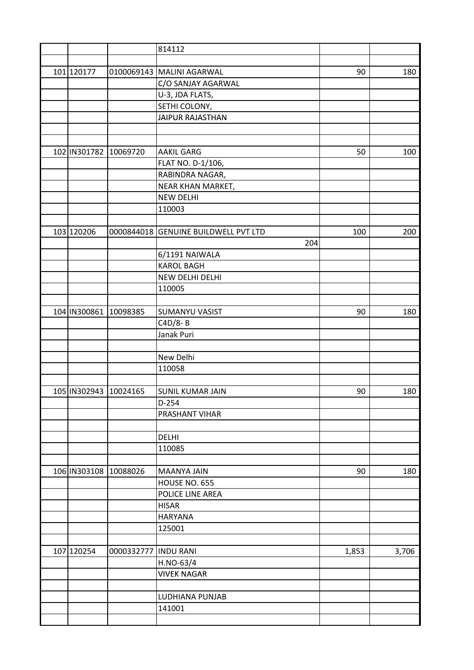|                       |                           | 814112                               |       |       |
|-----------------------|---------------------------|--------------------------------------|-------|-------|
|                       |                           |                                      |       |       |
| 101 120177            |                           | 0100069143 MALINI AGARWAL            | 90    | 180   |
|                       |                           | C/O SANJAY AGARWAL                   |       |       |
|                       |                           | U-3, JDA FLATS,                      |       |       |
|                       |                           | SETHI COLONY,                        |       |       |
|                       |                           | <b>JAIPUR RAJASTHAN</b>              |       |       |
|                       |                           |                                      |       |       |
|                       |                           |                                      |       |       |
| 102 IN301782          | 10069720                  | <b>AAKIL GARG</b>                    | 50    | 100   |
|                       |                           | FLAT NO. D-1/106,                    |       |       |
|                       |                           | RABINDRA NAGAR,                      |       |       |
|                       |                           | NEAR KHAN MARKET,                    |       |       |
|                       |                           | <b>NEW DELHI</b>                     |       |       |
|                       |                           | 110003                               |       |       |
|                       |                           |                                      |       |       |
| 103 120206            |                           | 0000844018 GENUINE BUILDWELL PVT LTD | 100   | 200   |
|                       |                           | 204                                  |       |       |
|                       |                           | 6/1191 NAIWALA                       |       |       |
|                       |                           | <b>KAROL BAGH</b>                    |       |       |
|                       |                           | NEW DELHI DELHI                      |       |       |
|                       |                           |                                      |       |       |
|                       |                           | 110005                               |       |       |
|                       |                           |                                      |       |       |
| 104 IN300861          | 10098385                  | <b>SUMANYU VASIST</b>                | 90    | 180   |
|                       |                           | C4D/8-B                              |       |       |
|                       |                           | Janak Puri                           |       |       |
|                       |                           |                                      |       |       |
|                       |                           | New Delhi                            |       |       |
|                       |                           | 110058                               |       |       |
|                       |                           |                                      |       |       |
| 105 IN302943 10024165 |                           | <b>SUNIL KUMAR JAIN</b>              | 90    | 180   |
|                       |                           | $D-254$                              |       |       |
|                       |                           | PRASHANT VIHAR                       |       |       |
|                       |                           |                                      |       |       |
|                       |                           | <b>DELHI</b>                         |       |       |
|                       |                           | 110085                               |       |       |
|                       |                           |                                      |       |       |
|                       | 106   IN303108   10088026 | <b>MAANYA JAIN</b>                   | 90    | 180   |
|                       |                           | HOUSE NO. 655                        |       |       |
|                       |                           | POLICE LINE AREA                     |       |       |
|                       |                           | <b>HISAR</b>                         |       |       |
|                       |                           | <b>HARYANA</b>                       |       |       |
|                       |                           | 125001                               |       |       |
|                       |                           |                                      |       |       |
| 107 120254            | 0000332777                | <b>INDU RANI</b>                     | 1,853 | 3,706 |
|                       |                           | H.NO-63/4                            |       |       |
|                       |                           | <b>VIVEK NAGAR</b>                   |       |       |
|                       |                           |                                      |       |       |
|                       |                           | LUDHIANA PUNJAB                      |       |       |
|                       |                           | 141001                               |       |       |
|                       |                           |                                      |       |       |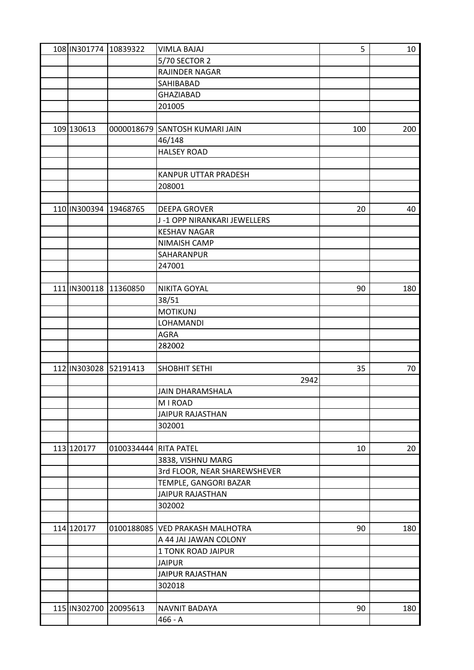| 108 IN301774 10839322 |                       | <b>VIMLA BAJAJ</b>              | 5   | 10  |
|-----------------------|-----------------------|---------------------------------|-----|-----|
|                       |                       | 5/70 SECTOR 2                   |     |     |
|                       |                       | RAJINDER NAGAR                  |     |     |
|                       |                       | SAHIBABAD                       |     |     |
|                       |                       | <b>GHAZIABAD</b>                |     |     |
|                       |                       | 201005                          |     |     |
|                       |                       |                                 |     |     |
| 109 130613            |                       | 0000018679 SANTOSH KUMARI JAIN  | 100 | 200 |
|                       |                       | 46/148                          |     |     |
|                       |                       | <b>HALSEY ROAD</b>              |     |     |
|                       |                       |                                 |     |     |
|                       |                       | KANPUR UTTAR PRADESH            |     |     |
|                       |                       | 208001                          |     |     |
|                       |                       |                                 |     |     |
| 110 IN300394          | 19468765              | <b>DEEPA GROVER</b>             | 20  | 40  |
|                       |                       | J-1 OPP NIRANKARI JEWELLERS     |     |     |
|                       |                       | <b>KESHAV NAGAR</b>             |     |     |
|                       |                       | NIMAISH CAMP                    |     |     |
|                       |                       | SAHARANPUR                      |     |     |
|                       |                       | 247001                          |     |     |
|                       |                       |                                 |     |     |
| 111 IN300118 11360850 |                       | <b>NIKITA GOYAL</b>             | 90  | 180 |
|                       |                       | 38/51                           |     |     |
|                       |                       | <b>MOTIKUNJ</b>                 |     |     |
|                       |                       | LOHAMANDI                       |     |     |
|                       |                       | <b>AGRA</b>                     |     |     |
|                       |                       | 282002                          |     |     |
|                       |                       |                                 |     |     |
| 112 IN303028          | 52191413              | <b>SHOBHIT SETHI</b>            | 35  | 70  |
|                       |                       | 2942                            |     |     |
|                       |                       | <b>JAIN DHARAMSHALA</b>         |     |     |
|                       |                       | M I ROAD                        |     |     |
|                       |                       | <b>JAIPUR RAJASTHAN</b>         |     |     |
|                       |                       | 302001                          |     |     |
|                       |                       |                                 |     |     |
| 113 120177            | 0100334444 RITA PATEL |                                 | 10  | 20  |
|                       |                       | 3838, VISHNU MARG               |     |     |
|                       |                       | 3rd FLOOR, NEAR SHAREWSHEVER    |     |     |
|                       |                       | TEMPLE, GANGORI BAZAR           |     |     |
|                       |                       | <b>JAIPUR RAJASTHAN</b>         |     |     |
|                       |                       | 302002                          |     |     |
|                       |                       |                                 |     |     |
| 114 120177            |                       | 0100188085 VED PRAKASH MALHOTRA | 90  | 180 |
|                       |                       | A 44 JAI JAWAN COLONY           |     |     |
|                       |                       | 1 TONK ROAD JAIPUR              |     |     |
|                       |                       | <b>JAIPUR</b>                   |     |     |
|                       |                       | <b>JAIPUR RAJASTHAN</b>         |     |     |
|                       |                       | 302018                          |     |     |
|                       |                       |                                 |     |     |
| 115 IN302700 20095613 |                       | <b>NAVNIT BADAYA</b>            | 90  | 180 |
|                       |                       | $466 - A$                       |     |     |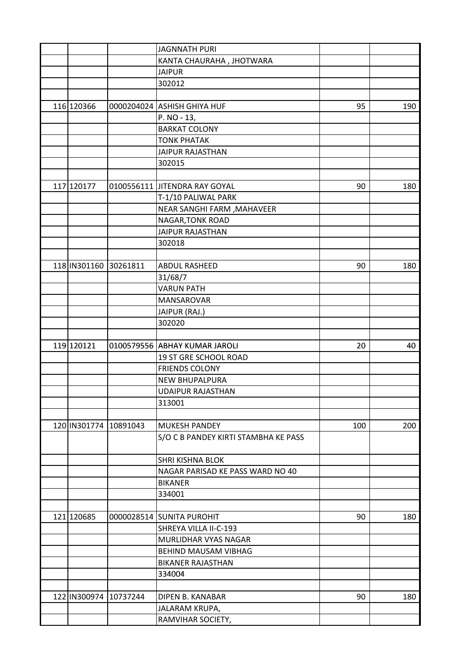|                         |                       | <b>JAGNNATH PURI</b>                               |     |     |
|-------------------------|-----------------------|----------------------------------------------------|-----|-----|
|                         |                       | KANTA CHAURAHA, JHOTWARA                           |     |     |
|                         |                       | <b>JAIPUR</b>                                      |     |     |
|                         |                       | 302012                                             |     |     |
|                         |                       |                                                    |     |     |
| 116 120366              |                       | 0000204024 ASHISH GHIYA HUF                        | 95  | 190 |
|                         |                       | P. NO - 13,                                        |     |     |
|                         |                       | <b>BARKAT COLONY</b>                               |     |     |
|                         |                       | <b>TONK PHATAK</b>                                 |     |     |
|                         |                       | <b>JAIPUR RAJASTHAN</b>                            |     |     |
|                         |                       | 302015                                             |     |     |
|                         |                       |                                                    |     |     |
| 117 120177              |                       | 0100556111 JITENDRA RAY GOYAL                      | 90  | 180 |
|                         |                       | T-1/10 PALIWAL PARK                                |     |     |
|                         |                       | NEAR SANGHI FARM , MAHAVEER                        |     |     |
|                         |                       | NAGAR, TONK ROAD                                   |     |     |
|                         |                       | <b>JAIPUR RAJASTHAN</b>                            |     |     |
|                         |                       | 302018                                             |     |     |
|                         |                       |                                                    |     |     |
| 118   IN301160 30261811 |                       | <b>ABDUL RASHEED</b>                               | 90  | 180 |
|                         |                       | 31/68/7                                            |     |     |
|                         |                       | <b>VARUN PATH</b>                                  |     |     |
|                         |                       | MANSAROVAR                                         |     |     |
|                         |                       | JAIPUR (RAJ.)                                      |     |     |
|                         |                       | 302020                                             |     |     |
|                         |                       |                                                    |     |     |
| 119 120121              |                       | 0100579556 ABHAY KUMAR JAROLI                      | 20  | 40  |
|                         |                       | 19 ST GRE SCHOOL ROAD                              |     |     |
|                         |                       | <b>FRIENDS COLONY</b>                              |     |     |
|                         |                       | <b>NEW BHUPALPURA</b>                              |     |     |
|                         |                       | <b>UDAIPUR RAJASTHAN</b>                           |     |     |
|                         |                       | 313001                                             |     |     |
|                         |                       |                                                    |     |     |
|                         | 120 IN301774 10891043 | <b>MUKESH PANDEY</b>                               | 100 | 200 |
|                         |                       |                                                    |     |     |
|                         |                       | S/O C B PANDEY KIRTI STAMBHA KE PASS               |     |     |
|                         |                       | <b>SHRI KISHNA BLOK</b>                            |     |     |
|                         |                       | NAGAR PARISAD KE PASS WARD NO 40                   |     |     |
|                         |                       | <b>BIKANER</b>                                     |     |     |
|                         |                       | 334001                                             |     |     |
|                         |                       |                                                    |     |     |
| 121 120685              |                       |                                                    |     |     |
|                         |                       | 0000028514 SUNITA PUROHIT<br>SHREYA VILLA II-C-193 | 90  | 180 |
|                         |                       |                                                    |     |     |
|                         |                       | MURLIDHAR VYAS NAGAR                               |     |     |
|                         |                       | <b>BEHIND MAUSAM VIBHAG</b>                        |     |     |
|                         |                       | <b>BIKANER RAJASTHAN</b>                           |     |     |
|                         |                       | 334004                                             |     |     |
|                         |                       |                                                    |     |     |
|                         | 122 IN300974 10737244 | DIPEN B. KANABAR                                   | 90  | 180 |
|                         |                       | <b>JALARAM KRUPA,</b>                              |     |     |
|                         |                       | RAMVIHAR SOCIETY,                                  |     |     |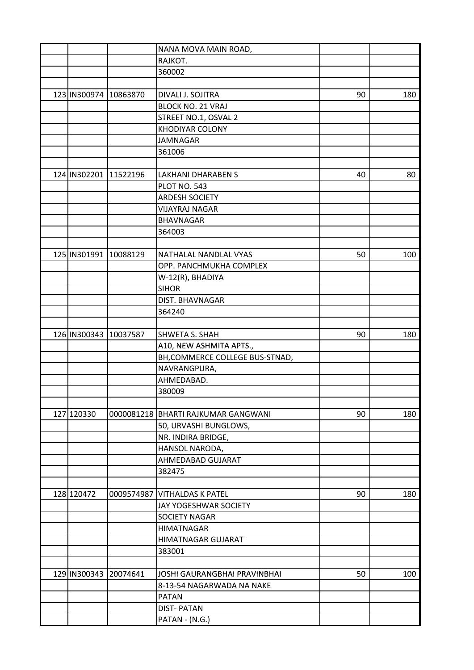|                       |          | NANA MOVA MAIN ROAD,                |    |     |
|-----------------------|----------|-------------------------------------|----|-----|
|                       |          | RAJKOT.                             |    |     |
|                       |          | 360002                              |    |     |
|                       |          |                                     |    |     |
| 123 IN300974 10863870 |          | DIVALI J. SOJITRA                   | 90 | 180 |
|                       |          | <b>BLOCK NO. 21 VRAJ</b>            |    |     |
|                       |          | STREET NO.1, OSVAL 2                |    |     |
|                       |          | <b>KHODIYAR COLONY</b>              |    |     |
|                       |          | JAMNAGAR                            |    |     |
|                       |          | 361006                              |    |     |
|                       |          |                                     |    |     |
| 124 IN302201 11522196 |          | <b>LAKHANI DHARABEN S</b>           | 40 | 80  |
|                       |          | PLOT NO. 543                        |    |     |
|                       |          | <b>ARDESH SOCIETY</b>               |    |     |
|                       |          | <b>VIJAYRAJ NAGAR</b>               |    |     |
|                       |          | <b>BHAVNAGAR</b>                    |    |     |
|                       |          | 364003                              |    |     |
|                       |          |                                     |    |     |
| 125 IN301991 10088129 |          | NATHALAL NANDLAL VYAS               | 50 | 100 |
|                       |          | OPP. PANCHMUKHA COMPLEX             |    |     |
|                       |          | W-12(R), BHADIYA                    |    |     |
|                       |          | <b>SIHOR</b>                        |    |     |
|                       |          | DIST. BHAVNAGAR                     |    |     |
|                       |          | 364240                              |    |     |
|                       |          |                                     |    |     |
| 126 IN300343          | 10037587 | SHWETA S. SHAH                      | 90 | 180 |
|                       |          | A10, NEW ASHMITA APTS.,             |    |     |
|                       |          | BH, COMMERCE COLLEGE BUS-STNAD,     |    |     |
|                       |          | NAVRANGPURA,                        |    |     |
|                       |          | AHMEDABAD.                          |    |     |
|                       |          | 380009                              |    |     |
|                       |          |                                     |    |     |
| 127 120330            |          | 0000081218 BHARTI RAJKUMAR GANGWANI | 90 | 180 |
|                       |          | 50, URVASHI BUNGLOWS,               |    |     |
|                       |          | NR. INDIRA BRIDGE,                  |    |     |
|                       |          | HANSOL NARODA,                      |    |     |
|                       |          | AHMEDABAD GUJARAT                   |    |     |
|                       |          | 382475                              |    |     |
|                       |          |                                     |    |     |
| 128 120472            |          | 0009574987 VITHALDAS K PATEL        | 90 | 180 |
|                       |          | JAY YOGESHWAR SOCIETY               |    |     |
|                       |          | SOCIETY NAGAR                       |    |     |
|                       |          | <b>HIMATNAGAR</b>                   |    |     |
|                       |          | HIMATNAGAR GUJARAT                  |    |     |
|                       |          | 383001                              |    |     |
|                       |          |                                     |    |     |
| 129 IN300343 20074641 |          | <b>JOSHI GAURANGBHAI PRAVINBHAI</b> | 50 | 100 |
|                       |          | 8-13-54 NAGARWADA NA NAKE           |    |     |
|                       |          | <b>PATAN</b>                        |    |     |
|                       |          | <b>DIST-PATAN</b>                   |    |     |
|                       |          | PATAN - (N.G.)                      |    |     |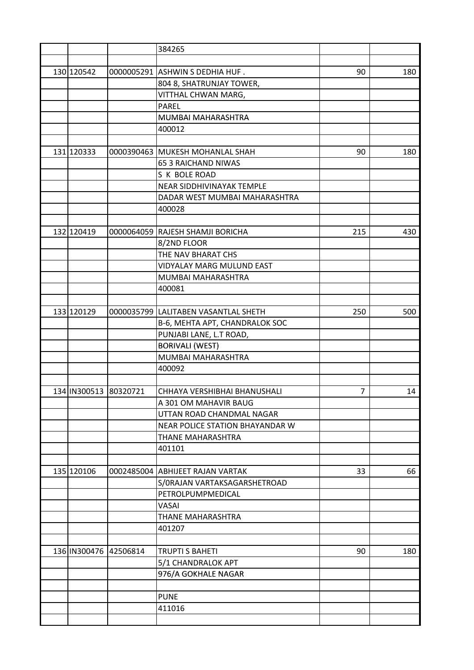|                       |                       | 384265                               |     |     |
|-----------------------|-----------------------|--------------------------------------|-----|-----|
|                       |                       |                                      |     |     |
| 130 120542            |                       | 0000005291 ASHWIN S DEDHIA HUF.      | 90  | 180 |
|                       |                       | 804 8, SHATRUNJAY TOWER,             |     |     |
|                       |                       | VITTHAL CHWAN MARG,                  |     |     |
|                       |                       | <b>PAREL</b>                         |     |     |
|                       |                       | MUMBAI MAHARASHTRA                   |     |     |
|                       |                       | 400012                               |     |     |
|                       |                       |                                      |     |     |
| 131 120333            |                       | 0000390463 MUKESH MOHANLAL SHAH      | 90  | 180 |
|                       |                       | <b>65 3 RAICHAND NIWAS</b>           |     |     |
|                       |                       | S K BOLE ROAD                        |     |     |
|                       |                       | <b>NEAR SIDDHIVINAYAK TEMPLE</b>     |     |     |
|                       |                       | DADAR WEST MUMBAI MAHARASHTRA        |     |     |
|                       |                       | 400028                               |     |     |
|                       |                       |                                      |     |     |
| 132 120419            |                       | 0000064059 RAJESH SHAMJI BORICHA     | 215 | 430 |
|                       |                       | 8/2ND FLOOR                          |     |     |
|                       |                       |                                      |     |     |
|                       |                       | THE NAV BHARAT CHS                   |     |     |
|                       |                       | VIDYALAY MARG MULUND EAST            |     |     |
|                       |                       | MUMBAI MAHARASHTRA                   |     |     |
|                       |                       | 400081                               |     |     |
|                       |                       |                                      |     |     |
| 133 120129            |                       | 0000035799 LALITABEN VASANTLAL SHETH | 250 | 500 |
|                       |                       | B-6, MEHTA APT, CHANDRALOK SOC       |     |     |
|                       |                       | PUNJABI LANE, L.T ROAD,              |     |     |
|                       |                       | <b>BORIVALI (WEST)</b>               |     |     |
|                       |                       | MUMBAI MAHARASHTRA                   |     |     |
|                       |                       | 400092                               |     |     |
|                       |                       |                                      |     |     |
| 134 IN300513 80320721 |                       | CHHAYA VERSHIBHAI BHANUSHALI         | 7   | 14  |
|                       |                       | A 301 OM MAHAVIR BAUG                |     |     |
|                       |                       | UTTAN ROAD CHANDMAL NAGAR            |     |     |
|                       |                       | NEAR POLICE STATION BHAYANDAR W      |     |     |
|                       |                       | THANE MAHARASHTRA                    |     |     |
|                       |                       | 401101                               |     |     |
|                       |                       |                                      |     |     |
| 135 120106            |                       | 0002485004 ABHIJEET RAJAN VARTAK     | 33  | 66  |
|                       |                       | S/ORAJAN VARTAKSAGARSHETROAD         |     |     |
|                       |                       | PETROLPUMPMEDICAL                    |     |     |
|                       |                       | <b>VASAI</b>                         |     |     |
|                       |                       | THANE MAHARASHTRA                    |     |     |
|                       |                       | 401207                               |     |     |
|                       |                       |                                      |     |     |
|                       | 136 IN300476 42506814 | <b>TRUPTI S BAHETI</b>               | 90  | 180 |
|                       |                       | 5/1 CHANDRALOK APT                   |     |     |
|                       |                       | 976/A GOKHALE NAGAR                  |     |     |
|                       |                       |                                      |     |     |
|                       |                       | <b>PUNE</b>                          |     |     |
|                       |                       | 411016                               |     |     |
|                       |                       |                                      |     |     |
|                       |                       |                                      |     |     |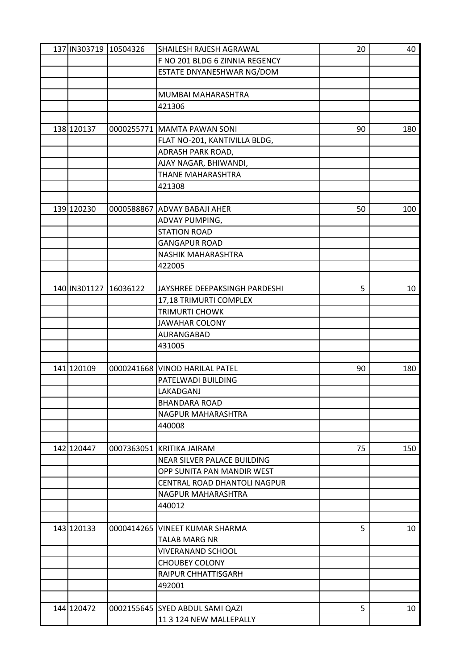|            | 137 IN303719 10504326 | SHAILESH RAJESH AGRAWAL               | 20 | 40  |
|------------|-----------------------|---------------------------------------|----|-----|
|            |                       | F NO 201 BLDG 6 ZINNIA REGENCY        |    |     |
|            |                       | ESTATE DNYANESHWAR NG/DOM             |    |     |
|            |                       |                                       |    |     |
|            |                       | MUMBAI MAHARASHTRA                    |    |     |
|            |                       | 421306                                |    |     |
|            |                       |                                       |    |     |
| 138 120137 |                       | 0000255771 MAMTA PAWAN SONI           | 90 | 180 |
|            |                       | FLAT NO-201, KANTIVILLA BLDG,         |    |     |
|            |                       | ADRASH PARK ROAD,                     |    |     |
|            |                       | AJAY NAGAR, BHIWANDI,                 |    |     |
|            |                       | <b>THANE MAHARASHTRA</b>              |    |     |
|            |                       | 421308                                |    |     |
|            |                       |                                       |    |     |
| 139 120230 | 0000588867            | <b>ADVAY BABAJI AHER</b>              | 50 | 100 |
|            |                       |                                       |    |     |
|            |                       | ADVAY PUMPING,<br><b>STATION ROAD</b> |    |     |
|            |                       |                                       |    |     |
|            |                       | <b>GANGAPUR ROAD</b>                  |    |     |
|            |                       | NASHIK MAHARASHTRA                    |    |     |
|            |                       | 422005                                |    |     |
|            |                       |                                       |    |     |
|            | 140 IN301127 16036122 | JAYSHREE DEEPAKSINGH PARDESHI         | 5  | 10  |
|            |                       | 17,18 TRIMURTI COMPLEX                |    |     |
|            |                       | <b>TRIMURTI CHOWK</b>                 |    |     |
|            |                       | <b>JAWAHAR COLONY</b>                 |    |     |
|            |                       | AURANGABAD                            |    |     |
|            |                       | 431005                                |    |     |
|            |                       |                                       |    |     |
| 141 120109 |                       | 0000241668 VINOD HARILAL PATEL        | 90 | 180 |
|            |                       | PATELWADI BUILDING                    |    |     |
|            |                       | LAKADGANJ                             |    |     |
|            |                       | BHANDARA ROAD                         |    |     |
|            |                       | NAGPUR MAHARASHTRA                    |    |     |
|            |                       | 440008                                |    |     |
|            |                       |                                       |    |     |
| 142 120447 |                       | 0007363051 KRITIKA JAIRAM             | 75 | 150 |
|            |                       | NEAR SILVER PALACE BUILDING           |    |     |
|            |                       | OPP SUNITA PAN MANDIR WEST            |    |     |
|            |                       | CENTRAL ROAD DHANTOLI NAGPUR          |    |     |
|            |                       | <b>NAGPUR MAHARASHTRA</b>             |    |     |
|            |                       | 440012                                |    |     |
|            |                       |                                       |    |     |
| 143 120133 |                       | 0000414265 VINEET KUMAR SHARMA        | 5  | 10  |
|            |                       | <b>TALAB MARG NR</b>                  |    |     |
|            |                       | <b>VIVERANAND SCHOOL</b>              |    |     |
|            |                       | <b>CHOUBEY COLONY</b>                 |    |     |
|            |                       | RAIPUR CHHATTISGARH                   |    |     |
|            |                       | 492001                                |    |     |
|            |                       |                                       |    |     |
| 144 120472 |                       | 0002155645 SYED ABDUL SAMI QAZI       | 5  | 10  |
|            |                       | 11 3 124 NEW MALLEPALLY               |    |     |
|            |                       |                                       |    |     |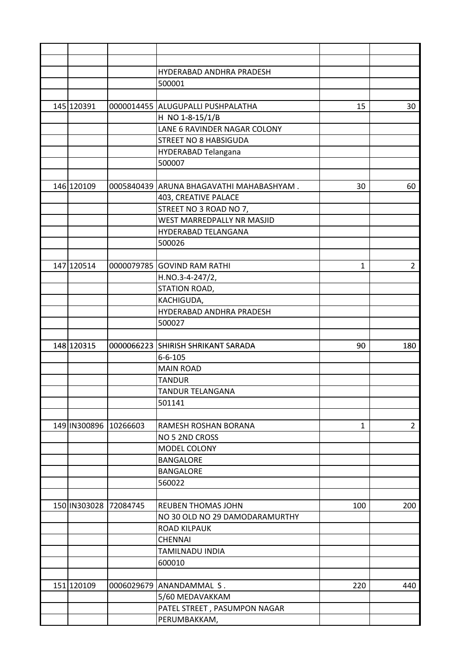|              |                          |                                   |                                                                                                                                                                                                                                                                                                                                                                                                                                      | 30             |
|--------------|--------------------------|-----------------------------------|--------------------------------------------------------------------------------------------------------------------------------------------------------------------------------------------------------------------------------------------------------------------------------------------------------------------------------------------------------------------------------------------------------------------------------------|----------------|
|              |                          |                                   |                                                                                                                                                                                                                                                                                                                                                                                                                                      |                |
|              |                          |                                   |                                                                                                                                                                                                                                                                                                                                                                                                                                      |                |
|              |                          |                                   |                                                                                                                                                                                                                                                                                                                                                                                                                                      |                |
|              |                          |                                   |                                                                                                                                                                                                                                                                                                                                                                                                                                      |                |
|              |                          |                                   |                                                                                                                                                                                                                                                                                                                                                                                                                                      |                |
|              |                          |                                   |                                                                                                                                                                                                                                                                                                                                                                                                                                      |                |
|              |                          |                                   |                                                                                                                                                                                                                                                                                                                                                                                                                                      | 60             |
|              |                          |                                   |                                                                                                                                                                                                                                                                                                                                                                                                                                      |                |
|              |                          |                                   |                                                                                                                                                                                                                                                                                                                                                                                                                                      |                |
|              |                          | <b>WEST MARREDPALLY NR MASJID</b> |                                                                                                                                                                                                                                                                                                                                                                                                                                      |                |
|              |                          | HYDERABAD TELANGANA               |                                                                                                                                                                                                                                                                                                                                                                                                                                      |                |
|              |                          |                                   |                                                                                                                                                                                                                                                                                                                                                                                                                                      |                |
|              |                          |                                   |                                                                                                                                                                                                                                                                                                                                                                                                                                      |                |
| 147 120514   |                          |                                   | 1                                                                                                                                                                                                                                                                                                                                                                                                                                    | $\overline{2}$ |
|              |                          |                                   |                                                                                                                                                                                                                                                                                                                                                                                                                                      |                |
|              |                          |                                   |                                                                                                                                                                                                                                                                                                                                                                                                                                      |                |
|              |                          |                                   |                                                                                                                                                                                                                                                                                                                                                                                                                                      |                |
|              |                          | HYDERABAD ANDHRA PRADESH          |                                                                                                                                                                                                                                                                                                                                                                                                                                      |                |
|              |                          | 500027                            |                                                                                                                                                                                                                                                                                                                                                                                                                                      |                |
|              |                          |                                   |                                                                                                                                                                                                                                                                                                                                                                                                                                      |                |
| 148 120315   |                          |                                   | 90                                                                                                                                                                                                                                                                                                                                                                                                                                   | 180            |
|              |                          | $6 - 6 - 105$                     |                                                                                                                                                                                                                                                                                                                                                                                                                                      |                |
|              |                          | <b>MAIN ROAD</b>                  |                                                                                                                                                                                                                                                                                                                                                                                                                                      |                |
|              |                          | <b>TANDUR</b>                     |                                                                                                                                                                                                                                                                                                                                                                                                                                      |                |
|              |                          | <b>TANDUR TELANGANA</b>           |                                                                                                                                                                                                                                                                                                                                                                                                                                      |                |
|              |                          | 501141                            |                                                                                                                                                                                                                                                                                                                                                                                                                                      |                |
|              |                          |                                   |                                                                                                                                                                                                                                                                                                                                                                                                                                      |                |
| 149 IN300896 | 10266603                 | RAMESH ROSHAN BORANA              | 1                                                                                                                                                                                                                                                                                                                                                                                                                                    | $\overline{2}$ |
|              |                          | NO 5 2ND CROSS                    |                                                                                                                                                                                                                                                                                                                                                                                                                                      |                |
|              |                          | MODEL COLONY                      |                                                                                                                                                                                                                                                                                                                                                                                                                                      |                |
|              |                          | <b>BANGALORE</b>                  |                                                                                                                                                                                                                                                                                                                                                                                                                                      |                |
|              |                          | <b>BANGALORE</b>                  |                                                                                                                                                                                                                                                                                                                                                                                                                                      |                |
|              |                          | 560022                            |                                                                                                                                                                                                                                                                                                                                                                                                                                      |                |
|              |                          |                                   |                                                                                                                                                                                                                                                                                                                                                                                                                                      |                |
| 150 IN303028 | 72084745                 | <b>REUBEN THOMAS JOHN</b>         | 100                                                                                                                                                                                                                                                                                                                                                                                                                                  | 200            |
|              |                          | NO 30 OLD NO 29 DAMODARAMURTHY    |                                                                                                                                                                                                                                                                                                                                                                                                                                      |                |
|              |                          | <b>ROAD KILPAUK</b>               |                                                                                                                                                                                                                                                                                                                                                                                                                                      |                |
|              |                          | <b>CHENNAI</b>                    |                                                                                                                                                                                                                                                                                                                                                                                                                                      |                |
|              |                          | TAMILNADU INDIA                   |                                                                                                                                                                                                                                                                                                                                                                                                                                      |                |
|              |                          | 600010                            |                                                                                                                                                                                                                                                                                                                                                                                                                                      |                |
|              |                          |                                   |                                                                                                                                                                                                                                                                                                                                                                                                                                      |                |
| 151 120109   | 0006029679               |                                   | 220                                                                                                                                                                                                                                                                                                                                                                                                                                  | 440            |
|              |                          | 5/60 MEDAVAKKAM                   |                                                                                                                                                                                                                                                                                                                                                                                                                                      |                |
|              |                          | PATEL STREET, PASUMPON NAGAR      |                                                                                                                                                                                                                                                                                                                                                                                                                                      |                |
|              |                          | PERUMBAKKAM,                      |                                                                                                                                                                                                                                                                                                                                                                                                                                      |                |
|              | 145 120391<br>146 120109 |                                   | HYDERABAD ANDHRA PRADESH<br>500001<br>0000014455 ALUGUPALLI PUSHPALATHA<br>H NO 1-8-15/1/B<br>LANE 6 RAVINDER NAGAR COLONY<br>STREET NO 8 HABSIGUDA<br>HYDERABAD Telangana<br>500007<br>0005840439 ARUNA BHAGAVATHI MAHABASHYAM.<br>403, CREATIVE PALACE<br>STREET NO 3 ROAD NO 7,<br>500026<br>0000079785 GOVIND RAM RATHI<br>H.NO.3-4-247/2,<br>STATION ROAD,<br>KACHIGUDA,<br>0000066223 SHIRISH SHRIKANT SARADA<br>ANANDAMMAL S. | 15<br>30       |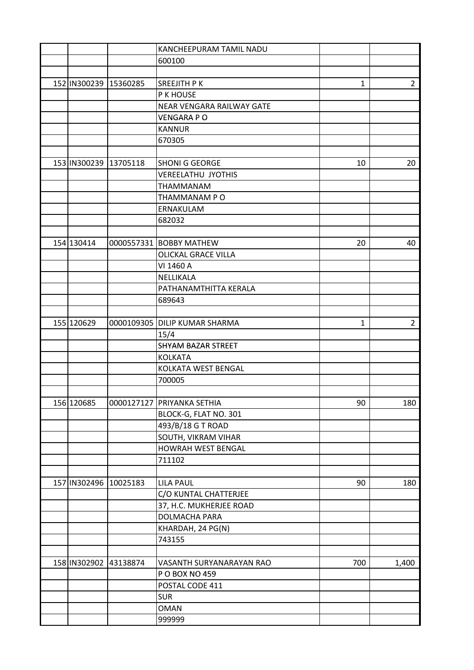|                       |                       | <b>KANCHEEPURAM TAMIL NADU</b> |     |                |
|-----------------------|-----------------------|--------------------------------|-----|----------------|
|                       |                       | 600100                         |     |                |
|                       |                       |                                |     |                |
| 152 IN300239 15360285 |                       | <b>SREEJITH PK</b>             | 1   | $\overline{2}$ |
|                       |                       | P K HOUSE                      |     |                |
|                       |                       | NEAR VENGARA RAILWAY GATE      |     |                |
|                       |                       | <b>VENGARA PO</b>              |     |                |
|                       |                       | <b>KANNUR</b>                  |     |                |
|                       |                       | 670305                         |     |                |
|                       |                       |                                |     |                |
|                       | 153 IN300239 13705118 | <b>SHONI G GEORGE</b>          | 10  | 20             |
|                       |                       | <b>VEREELATHU JYOTHIS</b>      |     |                |
|                       |                       | THAMMANAM                      |     |                |
|                       |                       | THAMMANAM PO                   |     |                |
|                       |                       |                                |     |                |
|                       |                       | ERNAKULAM                      |     |                |
|                       |                       | 682032                         |     |                |
|                       |                       |                                |     |                |
| 154 130414            |                       | 0000557331 BOBBY MATHEW        | 20  | 40             |
|                       |                       | <b>OLICKAL GRACE VILLA</b>     |     |                |
|                       |                       | VI 1460 A                      |     |                |
|                       |                       | NELLIKALA                      |     |                |
|                       |                       | PATHANAMTHITTA KERALA          |     |                |
|                       |                       | 689643                         |     |                |
|                       |                       |                                |     |                |
| 155 120629            |                       | 0000109305 DILIP KUMAR SHARMA  | 1   | $\overline{2}$ |
|                       |                       | 15/4                           |     |                |
|                       |                       | <b>SHYAM BAZAR STREET</b>      |     |                |
|                       |                       | <b>KOLKATA</b>                 |     |                |
|                       |                       | KOLKATA WEST BENGAL            |     |                |
|                       |                       | 700005                         |     |                |
|                       |                       |                                |     |                |
| 156 120685            |                       | 0000127127  PRIYANKA SETHIA    | 90  | 180            |
|                       |                       | BLOCK-G, FLAT NO. 301          |     |                |
|                       |                       | 493/B/18 G T ROAD              |     |                |
|                       |                       | SOUTH, VIKRAM VIHAR            |     |                |
|                       |                       | HOWRAH WEST BENGAL             |     |                |
|                       |                       | 711102                         |     |                |
|                       |                       |                                |     |                |
|                       | 157 IN302496 10025183 | <b>LILA PAUL</b>               | 90  | 180            |
|                       |                       | C/O KUNTAL CHATTERJEE          |     |                |
|                       |                       | 37, H.C. MUKHERJEE ROAD        |     |                |
|                       |                       | DOLMACHA PARA                  |     |                |
|                       |                       |                                |     |                |
|                       |                       | KHARDAH, 24 PG(N)              |     |                |
|                       |                       | 743155                         |     |                |
|                       |                       |                                |     |                |
|                       | 158 IN302902 43138874 | VASANTH SURYANARAYAN RAO       | 700 | 1,400          |
|                       |                       | P O BOX NO 459                 |     |                |
|                       |                       | POSTAL CODE 411                |     |                |
|                       |                       | <b>SUR</b>                     |     |                |
|                       |                       | <b>OMAN</b>                    |     |                |
|                       |                       | 999999                         |     |                |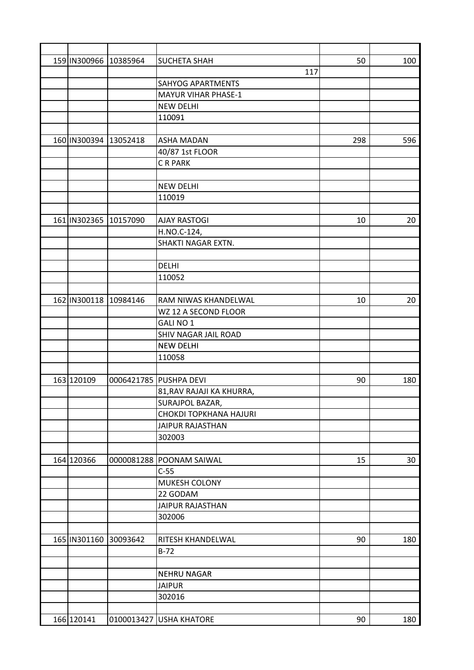| 159 IN300966 10385964 |          | <b>SUCHETA SHAH</b>           | 50  | 100 |
|-----------------------|----------|-------------------------------|-----|-----|
|                       |          | 117                           |     |     |
|                       |          | <b>SAHYOG APARTMENTS</b>      |     |     |
|                       |          | <b>MAYUR VIHAR PHASE-1</b>    |     |     |
|                       |          | <b>NEW DELHI</b>              |     |     |
|                       |          | 110091                        |     |     |
|                       |          |                               |     |     |
| 160 IN300394 13052418 |          | <b>ASHA MADAN</b>             | 298 | 596 |
|                       |          | 40/87 1st FLOOR               |     |     |
|                       |          | C R PARK                      |     |     |
|                       |          |                               |     |     |
|                       |          | <b>NEW DELHI</b>              |     |     |
|                       |          | 110019                        |     |     |
|                       |          |                               |     |     |
| 161 IN302365 10157090 |          | <b>AJAY RASTOGI</b>           | 10  | 20  |
|                       |          | H.NO.C-124,                   |     |     |
|                       |          | SHAKTI NAGAR EXTN.            |     |     |
|                       |          |                               |     |     |
|                       |          | <b>DELHI</b>                  |     |     |
|                       |          | 110052                        |     |     |
|                       |          |                               |     |     |
| 162 IN300118 10984146 |          | RAM NIWAS KHANDELWAL          | 10  | 20  |
|                       |          | WZ 12 A SECOND FLOOR          |     |     |
|                       |          | GALI NO 1                     |     |     |
|                       |          | SHIV NAGAR JAIL ROAD          |     |     |
|                       |          | <b>NEW DELHI</b>              |     |     |
|                       |          | 110058                        |     |     |
|                       |          |                               |     |     |
|                       |          |                               |     |     |
| 163 120109            |          | 0006421785 PUSHPA DEVI        | 90  | 180 |
|                       |          | 81, RAV RAJAJI KA KHURRA,     |     |     |
|                       |          | SURAJPOL BAZAR,               |     |     |
|                       |          | <b>CHOKDI TOPKHANA HAJURI</b> |     |     |
|                       |          | JAIPUR RAJASTHAN              |     |     |
|                       |          | 302003                        |     |     |
|                       |          |                               |     |     |
| 164 120366            |          | 0000081288 POONAM SAIWAL      | 15  | 30  |
|                       |          | $C-55$                        |     |     |
|                       |          | MUKESH COLONY                 |     |     |
|                       |          | 22 GODAM                      |     |     |
|                       |          | <b>JAIPUR RAJASTHAN</b>       |     |     |
|                       |          | 302006                        |     |     |
|                       |          |                               |     |     |
| 165 IN301160          | 30093642 | RITESH KHANDELWAL             | 90  | 180 |
|                       |          | $B-72$                        |     |     |
|                       |          |                               |     |     |
|                       |          | <b>NEHRU NAGAR</b>            |     |     |
|                       |          | <b>JAIPUR</b>                 |     |     |
|                       |          | 302016                        |     |     |
|                       |          |                               |     |     |
| 166 120141            |          | 0100013427 USHA KHATORE       | 90  | 180 |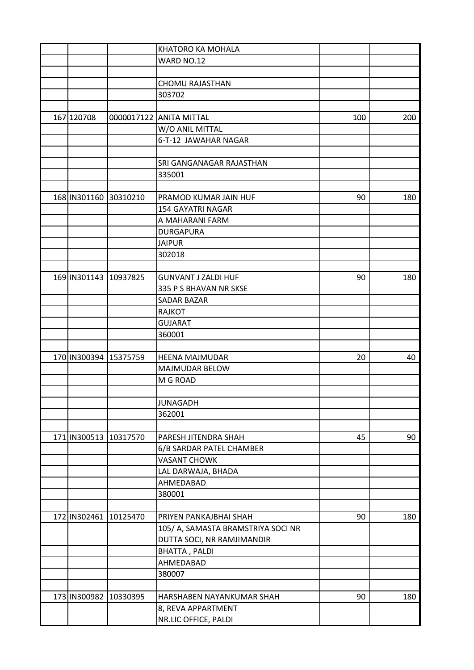|            |                           | KHATORO KA MOHALA                  |     |     |
|------------|---------------------------|------------------------------------|-----|-----|
|            |                           | WARD NO.12                         |     |     |
|            |                           |                                    |     |     |
|            |                           | <b>CHOMU RAJASTHAN</b>             |     |     |
|            |                           | 303702                             |     |     |
|            |                           |                                    |     |     |
| 167 120708 |                           | 0000017122 ANITA MITTAL            | 100 | 200 |
|            |                           | W/O ANIL MITTAL                    |     |     |
|            |                           | 6-T-12 JAWAHAR NAGAR               |     |     |
|            |                           |                                    |     |     |
|            |                           | SRI GANGANAGAR RAJASTHAN           |     |     |
|            |                           | 335001                             |     |     |
|            |                           |                                    |     |     |
|            | 168   IN301160 30310210   | PRAMOD KUMAR JAIN HUF              | 90  | 180 |
|            |                           |                                    |     |     |
|            |                           | <b>154 GAYATRI NAGAR</b>           |     |     |
|            |                           | A MAHARANI FARM                    |     |     |
|            |                           | <b>DURGAPURA</b>                   |     |     |
|            |                           | <b>JAIPUR</b>                      |     |     |
|            |                           | 302018                             |     |     |
|            |                           |                                    |     |     |
|            | 169 IN301143 10937825     | <b>GUNVANT J ZALDI HUF</b>         | 90  | 180 |
|            |                           | 335 P S BHAVAN NR SKSE             |     |     |
|            |                           | <b>SADAR BAZAR</b>                 |     |     |
|            |                           | <b>RAJKOT</b>                      |     |     |
|            |                           | <b>GUJARAT</b>                     |     |     |
|            |                           | 360001                             |     |     |
|            |                           |                                    |     |     |
|            | 170 IN300394 15375759     | <b>HEENA MAJMUDAR</b>              | 20  | 40  |
|            |                           | <b>MAJMUDAR BELOW</b>              |     |     |
|            |                           | M G ROAD                           |     |     |
|            |                           |                                    |     |     |
|            |                           | <b>JUNAGADH</b>                    |     |     |
|            |                           | 362001                             |     |     |
|            |                           |                                    |     |     |
|            | 171   IN300513   10317570 | PARESH JITENDRA SHAH               | 45  | 90  |
|            |                           | 6/B SARDAR PATEL CHAMBER           |     |     |
|            |                           | <b>VASANT CHOWK</b>                |     |     |
|            |                           | LAL DARWAJA, BHADA                 |     |     |
|            |                           | AHMEDABAD                          |     |     |
|            |                           | 380001                             |     |     |
|            |                           |                                    |     |     |
|            | 172 IN302461 10125470     | PRIYEN PANKAJBHAI SHAH             | 90  | 180 |
|            |                           | 105/ A, SAMASTA BRAMSTRIYA SOCI NR |     |     |
|            |                           | DUTTA SOCI, NR RAMJIMANDIR         |     |     |
|            |                           | <b>BHATTA, PALDI</b>               |     |     |
|            |                           | AHMEDABAD                          |     |     |
|            |                           | 380007                             |     |     |
|            |                           |                                    |     |     |
|            | 173 IN300982 10330395     | HARSHABEN NAYANKUMAR SHAH          | 90  | 180 |
|            |                           | 8, REVA APPARTMENT                 |     |     |
|            |                           | NR.LIC OFFICE, PALDI               |     |     |
|            |                           |                                    |     |     |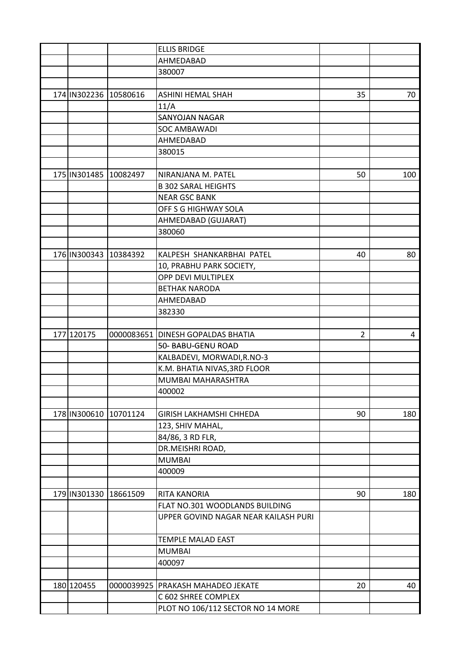|                       |                       | <b>ELLIS BRIDGE</b>                  |                |     |
|-----------------------|-----------------------|--------------------------------------|----------------|-----|
|                       |                       | AHMEDABAD                            |                |     |
|                       |                       | 380007                               |                |     |
|                       |                       |                                      |                |     |
|                       | 174 IN302236 10580616 | <b>ASHINI HEMAL SHAH</b>             | 35             | 70  |
|                       |                       | 11/A                                 |                |     |
|                       |                       | SANYOJAN NAGAR                       |                |     |
|                       |                       | SOC AMBAWADI                         |                |     |
|                       |                       | AHMEDABAD                            |                |     |
|                       |                       | 380015                               |                |     |
|                       |                       |                                      |                |     |
|                       | 175 IN301485 10082497 | NIRANJANA M. PATEL                   | 50             | 100 |
|                       |                       | <b>B 302 SARAL HEIGHTS</b>           |                |     |
|                       |                       | <b>NEAR GSC BANK</b>                 |                |     |
|                       |                       | OFF S G HIGHWAY SOLA                 |                |     |
|                       |                       | AHMEDABAD (GUJARAT)                  |                |     |
|                       |                       | 380060                               |                |     |
|                       |                       |                                      |                |     |
| 176 IN300343 10384392 |                       | KALPESH SHANKARBHAI PATEL            | 40             | 80  |
|                       |                       | 10, PRABHU PARK SOCIETY,             |                |     |
|                       |                       | OPP DEVI MULTIPLEX                   |                |     |
|                       |                       | <b>BETHAK NARODA</b>                 |                |     |
|                       |                       | AHMEDABAD                            |                |     |
|                       |                       | 382330                               |                |     |
|                       |                       |                                      |                |     |
| 177 120175            |                       | 0000083651 DINESH GOPALDAS BHATIA    | $\overline{2}$ | 4   |
|                       |                       | 50- BABU-GENU ROAD                   |                |     |
|                       |                       | KALBADEVI, MORWADI, R.NO-3           |                |     |
|                       |                       | K.M. BHATIA NIVAS, 3RD FLOOR         |                |     |
|                       |                       | MUMBAI MAHARASHTRA                   |                |     |
|                       |                       |                                      |                |     |
|                       |                       | 400002                               |                |     |
|                       |                       |                                      | 90             |     |
|                       | 178 IN300610 10701124 | <b>GIRISH LAKHAMSHI CHHEDA</b>       |                | 180 |
|                       |                       | 123, SHIV MAHAL,                     |                |     |
|                       |                       | 84/86, 3 RD FLR,                     |                |     |
|                       |                       | DR.MEISHRI ROAD,                     |                |     |
|                       |                       | <b>MUMBAI</b>                        |                |     |
|                       |                       | 400009                               |                |     |
|                       |                       |                                      |                |     |
|                       | 179 IN301330 18661509 | <b>RITA KANORIA</b>                  | 90             | 180 |
|                       |                       | FLAT NO.301 WOODLANDS BUILDING       |                |     |
|                       |                       | UPPER GOVIND NAGAR NEAR KAILASH PURI |                |     |
|                       |                       |                                      |                |     |
|                       |                       | TEMPLE MALAD EAST                    |                |     |
|                       |                       | <b>MUMBAI</b>                        |                |     |
|                       |                       | 400097                               |                |     |
|                       |                       |                                      |                |     |
| 180 120455            |                       | 0000039925 PRAKASH MAHADEO JEKATE    | 20             | 40  |
|                       |                       | C 602 SHREE COMPLEX                  |                |     |
|                       |                       | PLOT NO 106/112 SECTOR NO 14 MORE    |                |     |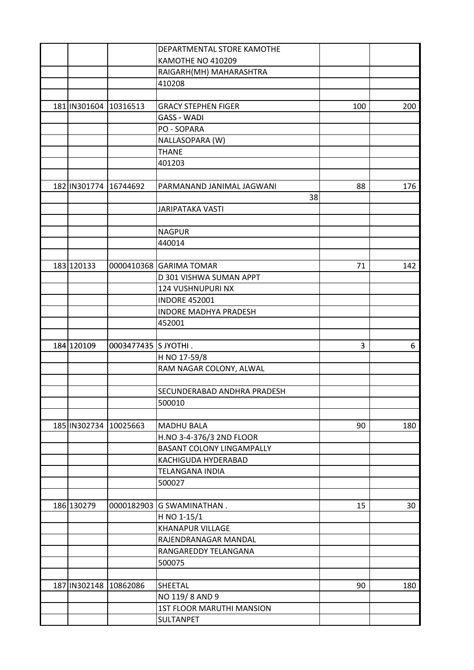|                       |                       | DEPARTMENTAL STORE KAMOTHE       |     |     |
|-----------------------|-----------------------|----------------------------------|-----|-----|
|                       |                       | KAMOTHE NO 410209                |     |     |
|                       |                       | RAIGARH(MH) MAHARASHTRA          |     |     |
|                       |                       | 410208                           |     |     |
|                       |                       |                                  |     |     |
| 181 IN301604 10316513 |                       | <b>GRACY STEPHEN FIGER</b>       | 100 | 200 |
|                       |                       | <b>GASS - WADI</b>               |     |     |
|                       |                       | PO - SOPARA                      |     |     |
|                       |                       | NALLASOPARA (W)                  |     |     |
|                       |                       | <b>THANE</b>                     |     |     |
|                       |                       | 401203                           |     |     |
|                       |                       |                                  |     |     |
|                       | 182 IN301774 16744692 | PARMANAND JANIMAL JAGWANI        | 88  | 176 |
|                       |                       | 38                               |     |     |
|                       |                       | <b>JARIPATAKA VASTI</b>          |     |     |
|                       |                       |                                  |     |     |
|                       |                       | <b>NAGPUR</b>                    |     |     |
|                       |                       | 440014                           |     |     |
|                       |                       |                                  |     |     |
| 183 120133            |                       | 0000410368 GARIMA TOMAR          | 71  | 142 |
|                       |                       | D 301 VISHWA SUMAN APPT          |     |     |
|                       |                       | 124 VUSHNUPURI NX                |     |     |
|                       |                       | <b>INDORE 452001</b>             |     |     |
|                       |                       | <b>INDORE MADHYA PRADESH</b>     |     |     |
|                       |                       | 452001                           |     |     |
|                       |                       |                                  |     |     |
| 184 120109            | 0003477435 S JYOTHI.  |                                  | 3   | 6   |
|                       |                       | H NO 17-59/8                     |     |     |
|                       |                       | RAM NAGAR COLONY, ALWAL          |     |     |
|                       |                       |                                  |     |     |
|                       |                       | SECUNDERABAD ANDHRA PRADESH      |     |     |
|                       |                       | 500010                           |     |     |
|                       |                       |                                  |     |     |
| 185 IN302734 10025663 |                       | <b>MADHU BALA</b>                | 90  | 180 |
|                       |                       | H.NO 3-4-376/3 2ND FLOOR         |     |     |
|                       |                       | <b>BASANT COLONY LINGAMPALLY</b> |     |     |
|                       |                       | KACHIGUDA HYDERABAD              |     |     |
|                       |                       | <b>TELANGANA INDIA</b>           |     |     |
|                       |                       | 500027                           |     |     |
|                       |                       |                                  |     |     |
| 186 130279            |                       | 0000182903 G SWAMINATHAN.        | 15  | 30  |
|                       |                       | H NO 1-15/1                      |     |     |
|                       |                       | <b>KHANAPUR VILLAGE</b>          |     |     |
|                       |                       | RAJENDRANAGAR MANDAL             |     |     |
|                       |                       | RANGAREDDY TELANGANA             |     |     |
|                       |                       | 500075                           |     |     |
|                       |                       |                                  |     |     |
|                       | 187 IN302148 10862086 | SHEETAL                          | 90  | 180 |
|                       |                       | NO 119/8 AND 9                   |     |     |
|                       |                       |                                  |     |     |
|                       |                       | <b>1ST FLOOR MARUTHI MANSION</b> |     |     |
|                       |                       | SULTANPET                        |     |     |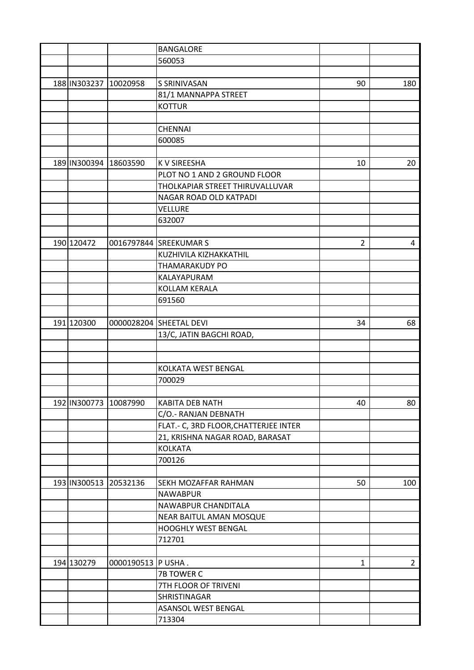|                       |                       | <b>BANGALORE</b>                       |                |                |
|-----------------------|-----------------------|----------------------------------------|----------------|----------------|
|                       |                       | 560053                                 |                |                |
|                       |                       |                                        |                |                |
| 188 IN303237 10020958 |                       | <b>S SRINIVASAN</b>                    | 90             | 180            |
|                       |                       | 81/1 MANNAPPA STREET                   |                |                |
|                       |                       | <b>KOTTUR</b>                          |                |                |
|                       |                       |                                        |                |                |
|                       |                       | <b>CHENNAI</b>                         |                |                |
|                       |                       | 600085                                 |                |                |
|                       |                       |                                        |                |                |
| 189 IN300394 18603590 |                       | <b>KV SIREESHA</b>                     | 10             | 20             |
|                       |                       | PLOT NO 1 AND 2 GROUND FLOOR           |                |                |
|                       |                       | THOLKAPIAR STREET THIRUVALLUVAR        |                |                |
|                       |                       | NAGAR ROAD OLD KATPADI                 |                |                |
|                       |                       | <b>VELLURE</b>                         |                |                |
|                       |                       | 632007                                 |                |                |
|                       |                       |                                        |                |                |
| 190 120472            |                       | 0016797844 SREEKUMAR S                 | $\overline{2}$ | 4              |
|                       |                       | KUZHIVILA KIZHAKKATHIL                 |                |                |
|                       |                       | <b>THAMARAKUDY PO</b>                  |                |                |
|                       |                       | KALAYAPURAM                            |                |                |
|                       |                       | <b>KOLLAM KERALA</b>                   |                |                |
|                       |                       | 691560                                 |                |                |
|                       |                       |                                        |                |                |
| 191 120300            |                       | 0000028204 SHEETAL DEVI                | 34             | 68             |
|                       |                       | 13/C, JATIN BAGCHI ROAD,               |                |                |
|                       |                       |                                        |                |                |
|                       |                       |                                        |                |                |
|                       |                       | KOLKATA WEST BENGAL                    |                |                |
|                       |                       | 700029                                 |                |                |
|                       |                       |                                        |                |                |
|                       |                       |                                        |                |                |
| 192 IN300773 10087990 |                       | KABITA DEB NATH                        | 40             | 80             |
|                       |                       | C/O.- RANJAN DEBNATH                   |                |                |
|                       |                       | FLAT. - C, 3RD FLOOR, CHATTERJEE INTER |                |                |
|                       |                       | 21, KRISHNA NAGAR ROAD, BARASAT        |                |                |
|                       |                       | <b>KOLKATA</b>                         |                |                |
|                       |                       | 700126                                 |                |                |
|                       |                       |                                        |                |                |
|                       | 193 IN300513 20532136 | SEKH MOZAFFAR RAHMAN                   | 50             | 100            |
|                       |                       | <b>NAWABPUR</b>                        |                |                |
|                       |                       | NAWABPUR CHANDITALA                    |                |                |
|                       |                       | NEAR BAITUL AMAN MOSQUE                |                |                |
|                       |                       | HOOGHLY WEST BENGAL                    |                |                |
|                       |                       | 712701                                 |                |                |
|                       |                       |                                        |                |                |
| 194 130279            | 0000190513 P USHA.    |                                        | $\mathbf{1}$   | $\overline{2}$ |
|                       |                       | 7B TOWER C                             |                |                |
|                       |                       | 7TH FLOOR OF TRIVENI                   |                |                |
|                       |                       | SHRISTINAGAR                           |                |                |
|                       |                       | ASANSOL WEST BENGAL                    |                |                |
|                       |                       | 713304                                 |                |                |